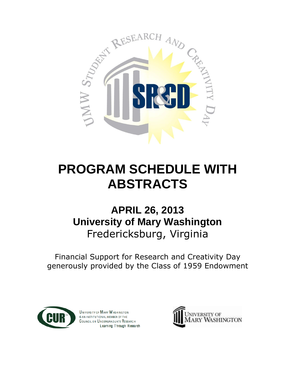

# **PROGRAM SCHEDULE WITH ABSTRACTS**

## **APRIL 26, 2013 University of Mary Washington** Fredericksburg, Virginia

Financial Support for Research and Creativity Day generously provided by the Class of 1959 Endowment



UNIVERSITY OF MARY WASHINGTON IS AN INSTITUTIONAL MEMBER OF THE COUNCIL ON UNDERGRADUATE RESEARCH Learning Through Research

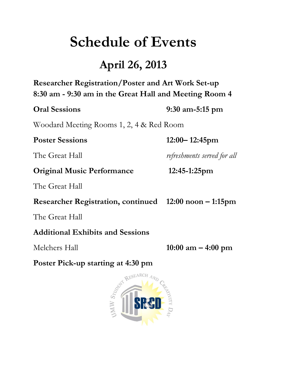# **Schedule of Events**

## **April 26, 2013**

**Researcher Registration/Poster and Art Work Set-up 8:30 am - 9:30 am in the Great Hall and Meeting Room 4**

**Oral Sessions 9:30 am-5:15 pm**

Woodard Meeting Rooms 1, 2, 4 & Red Room

## **Poster Sessions 12:00– 12:45pm**

The Great Hall *refreshments served for all*

**Original Music Performance 12:45-1:25pm**

The Great Hall

**Researcher Registration, continued 12:00 noon – 1:15pm**

The Great Hall

**Additional Exhibits and Sessions** 

Melchers Hall **10:00 am – 4:00 pm**

**Poster Pick-up starting at 4:30 pm**

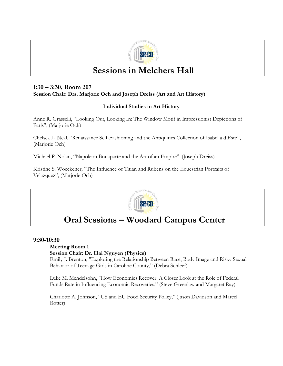

## **Sessions in Melchers Hall**

## **1:30 – 3:30, Room 207 Session Chair: Drs. Marjorie Och and Joseph Dreiss (Art and Art History)**

## **Individual Studies in Art History**

Anne R. Grasselli, "Looking Out, Looking In: The Window Motif in Impressionist Depictions of Paris", (Marjorie Och)

Chelsea L. Neal, "Renaissance Self-Fashioning and the Antiquities Collection of Isabella d'Este", (Marjorie Och)

Michael P. Nolan, "Napoleon Bonaparte and the Art of an Empire", (Joseph Dreiss)

Kristine S. Woeckener, "The Influence of Titian and Rubens on the Equestrian Portraits of Velazquez", (Marjorie Och)



## **Oral Sessions – Woodard Campus Center**

## **9:30-10:30**

## **Meeting Room 1**

**Session Chair: Dr. Hai Nguyen (Physics)**

Emily J. Brenton, "Exploring the Relationship Between Race, Body Image and Risky Sexual Behavior of Teenage Girls in Caroline County," (Debra Schleef)

Luke M. Mendelsohn, "How Economies Recover: A Closer Look at the Role of Federal Funds Rate in Influencing Economic Recoveries," (Steve Greenlaw and Margaret Ray)

Charlotte A. Johnson, "US and EU Food Security Policy," (Jason Davidson and Marcel Rotter)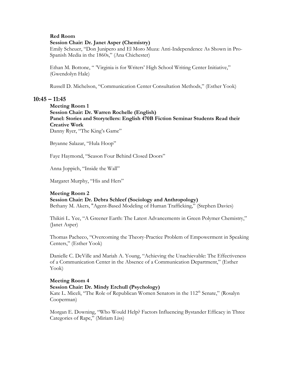## **Red Room**

## **Session Chair: Dr. Janet Asper (Chemistry)**

Emily Scheuer, "Don Junipero and El Moro Muza: Anti-Independence As Shown in Pro-Spanish Media in the 1860s," (Ana Chichester)

Ethan M. Bottone, " 'Virginia is for Writers' High School Writing Center Initiative," (Gwendolyn Hale)

Russell D. Michelson, "Communication Center Consultation Methods," (Esther Yook)

## **10:45 – 11:45**

**Meeting Room 1 Session Chair: Dr. Warren Rochelle (English) Panel: Stories and Storytellers: English 470B Fiction Seminar Students Read their Creative Work** Danny Ryer, "The King's Game"

Bryanne Salazar, "Hula Hoop"

Faye Haymond, "Season Four Behind Closed Doors"

Anna Joppich, "Inside the Wall"

Margaret Murphy, "His and Hers"

## **Meeting Room 2**

## **Session Chair: Dr. Debra Schleef (Sociology and Anthropology)**

Bethany M. Akers, "Agent-Based Modeling of Human Trafficking," (Stephen Davies)

Thikiri L. Yee, "A Greener Earth: The Latest Advancements in Green Polymer Chemistry," (Janet Asper)

Thomas Pacheco, "Overcoming the Theory-Practice Problem of Empowerment in Speaking Centers," (Esther Yook)

Danielle C. DeVille and Mariah A. Young, "Achieving the Unachievable: The Effectiveness of a Communication Center in the Absence of a Communication Department," (Esther Yook)

## **Meeting Room 4**

## **Session Chair: Dr. Mindy Erchull (Psychology)**

Kate L. Miceli, "The Role of Republican Women Senators in the 112<sup>th</sup> Senate," (Rosalyn Cooperman)

Morgan E. Downing, "Who Would Help? Factors Influencing Bystander Efficacy in Three Categories of Rape," (Miriam Liss)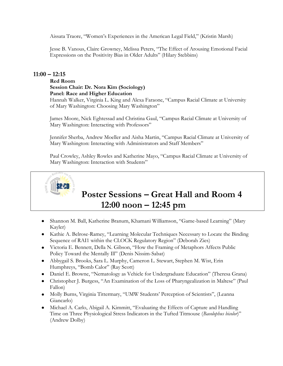Aissata Traore, "Women's Experiences in the American Legal Field," (Kristin Marsh)

Jesse B. Vanous, Claire Growney, Melissa Peters, "The Effect of Arousing Emotional Facial Expressions on the Positivity Bias in Older Adults" (Hilary Stebbins)

## **11:00 – 12:15**

## **Red Room**

## **Session Chair: Dr. Nora Kim (Sociology) Panel: Race and Higher Education**

Hannah Walker, Virginia L. King and Alexa Faraone, "Campus Racial Climate at University of Mary Washington: Choosing Mary Washington"

James Moore, Nick Eghtessad and Christina Gaul, "Campus Racial Climate at University of Mary Washington: Interacting with Professors"

Jennifer Sherba, Andrew Moeller and Aisha Martin, "Campus Racial Climate at University of Mary Washington: Interacting with Administrators and Staff Members"

Paul Crowley, Ashley Rowles and Katherine Mayo, "Campus Racial Climate at University of Mary Washington: Interaction with Students"



## **Poster Sessions – Great Hall and Room 4 12:00 noon – 12:45 pm**

- Shannon M. Ball, Katherine Branum, Khamani Williamson, "Game-based Learning" (Mary Kayler)
- Kathie A. Belrose-Ramey, "Learning Molecular Techniques Necessary to Locate the Binding Sequence of RAI1 within the CLOCK Regulatory Region" (Deborah Zies)
- Victoria E. Bennett, Della N. Gibson, "How the Framing of Metaphors Affects Public Policy Toward the Mentally Ill" (Denis Nissim-Sabat)
- Abbygail S. Brooks, Sara L. Murphy, Cameron L. Stewart, Stephen M. Wist, Erin Humphreys, "Bomb Calor" (Ray Scott)
- Daniel E. Browne, "Nematology as Vehicle for Undergraduate Education" (Theresa Grana)
- Christopher J. Burgess, "An Examination of the Loss of Pharyngealization in Maltese" (Paul Fallon)
- Molly Burns, Virginia Tittermary, "UMW Students' Perception of Scientists", (Leanna Giancarlo)
- Michael A. Carlo, Abigail A. Kimmitt, "Evaluating the Effects of Capture and Handling Time on Three Physiological Stress Indicators in the Tufted Titmouse (*Baeolophus bicolor*)" (Andrew Dolby)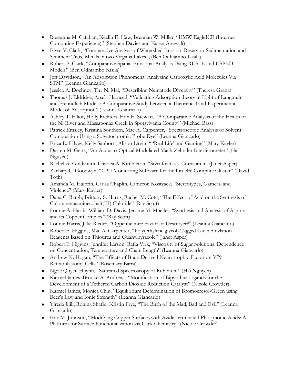- Rossanna M. Catahan, Keelin E. Haw, Brennan W. Miller, "UMW EagleICE (Internet Computing Experience)" (Stephen Davies and Karen Anewalt)
- Elyse V. Clark, "Comparative Analysis of Watershed Erosion, Reservoir Sedimentation and Sediment Trace Metals in two Virginia Lakes", (Ben Odhiambo Kisila)
- Robert P. Clark, "Comparative Spatial Erosional Analysis Using RUSLE and USPED Models" (Ben Odhiambo Kisila)
- Jeff Davidson, "An Adsorption Phenomena: Analyzing Carboxylic Acid Molecules Via STM" (Leanna Giancarlo)
- Jessica A. Dochney, Thy N. Mai, "Describing Nematode Diversity" (Theresa Grana)
- Thomas J. Eldridge, Arsela Hameed, "Validating Adsorption theory in Light of Langmuir and Freundlich Models: A Comparative Study between a Theoretical and Experimental Model of Adsorption" (Leanna Giancarlo)
- Ashley T. Elliot, Holly Richters, Erin E. Stewart, "A Comparative Analysis of the Health of the Ni River and Massaponax Creek in Spotsylvania County" (Michael Bass)
- Patrick Emsley, Kristina Southern, Mae A. Carpenter, "Spectroscopic Analysis of Solvent Composition Using a Solvatochromic Probe Dye" (Leanna Giancarlo)
- Erica L. Falvey, Kelly Sanborn, Alison Litvin, " 'Real Life' and Gaming" (Mary Kayler)
- Darren M. Getts, "An Acousto-Optical Modulated Mach Zehnder Interferometer" (Hai Nguyen)
- Rachel A. Goldsmith, Charlea A. Kimbleton, "Styrofoam vs. Cornstarch" (Janet Asper)
- Zachary C. Goodwyn, "CPU Monitoring Software for the LittleFe Compute Cluster" (David Toth)
- Amanda M. Halprin, Carisa Chaplin, Cameron Kostyack, "Stereotypes, Gamers, and Violence" (Mary Kayler)
- Dana C. Bargh, Brittany S. Harris, Rachel M. Cote, "The Effect of Acid on the Synthesis of Chlorapentaaminecobalt(III) Chloride" (Ray Scott)
- Lonnie A. Harris, William D. Davis, Jerome M. Mueller, "Synthesis and Analysis of Aspirin and its Copper Complex" (Ray Scott)
- Lonnie Harris, Jake Rieder, "Oppenheimer: Savior or Destroyer?" (Leanna Giancarlo)
- Robert F. Higgins, Mae A. Carpenter, "Poly(ethylene glycol) Tagged Guanidinylation Reagents Based on Thiourea and Guanylpyrazole" (Janet Asper)
- Robert F. Higgins, Jennifer Larson, Rafia Virk, "Viscosity of Sugar Solutions: Dependence on Concentration, Temperature and Chain Length" (Leanna Giancarlo)
- Andrew N. Hogan, "The Effects of Brain Derived Neurotrophic Factor on Y79 Retinoblastoma Cells" (Rosemary Barra)
- Ngoc Quyen Huynh, "Saturated Spectroscopy of Rubidium" (Hai Nguyen)
- Karmel James, Brooke A. Andrews, "Modification of Bipyridine Ligands for the Development of a Tethered Carbon Dioxide Reduction Catalyst" (Nicole Crowder)
- Karmel James, Monica Chiu, "Equilibrium Determination of Bromocresol-Green using Beer's Law and Ionic Strength" (Leanna Giancarlo)
- Yireda Jilili, Rohina Shafiq, Kristin Frye, "The Birth of the Mad, Bad and Evil" (Leanna Giancarlo)
- Eric M. Johnson, "Modifying Copper Surfaces with Azide-terminated Phosphonic Acids: A Platform for Surface Functionalization via Click Chemistry" (Nicole Crowder)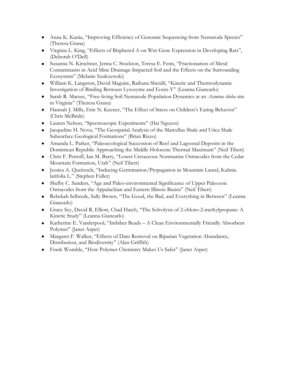- Anna K. Kania, "Improving Efficiency of Genomic Sequencing from Nematode Species" (Theresa Grana)
- Virginia L. King, "Effects of Bisphenol A on Wnt Gene Expression in Developing Rats", (Deborah O'Dell)
- Susanna N. Kirschner, Jenna C. Stockton, Teresa E. Fenn, "Fractionation of Metal Contaminants in Acid Mine Drainage-Impacted Soil and the Effects on the Surrounding Ecosystem" (Melanie Szulczewski)
- William K. Langston, David Maguire, Raihana Sherdil, "Kinetic and Thermodynamic Investigation of Binding Between Lysozyme and Eosin-Y" (Leanna Giancarlo)
- Sarah R. Marzec, "Free-living Soil Nematode Population Dynamics at an *Asimina tiloba* site in Virginia" (Theresa Grana)
- Hannah J. Mills, Erin N. Keener, "The Effect of Stress on Children's Eating Behavior" (Chris McBride)
- Lauren Nelson, "Spectroscopic Experiments" (Hai Nguyen)
- Jacqueline H. Nova, "The Geospatial Analysis of the Marcellus Shale and Utica Shale Subsurface Geological Formations" (Brian Rizzo)
- Amanda L. Parker, "Paleoecological Succession of Reef and Lagoonal Deposits in the Dominican Republic Approaching the Middle Holocene Thermal Maximum" (Neil Tibert)
- Chris F. Petroff, Ian M. Barry, "Lower Cretaceous Nonmarine Ostracodes from the Cedar Mountain Formation, Utah" (Neil Tibert)
- Jessica A. Queitzsch, "Inducing Germination/Propagation in Mountain Laurel, Kalmia latifolia L." (Stephen Fuller)
- Shelby C. Sanders, "Age and Paleo-environmental Significance of Upper Paleozoic Ostracodes from the Appalachian and Eastern Illinois Basins" (Neil Tibert)
- Rebekah Selbrede, Sally Brown, "The Good, the Bad, and Everything in Between" (Leanna Giancarlo)
- Grace Sey, David R. Elliott, Chad Hatch, "The Solvolysis of 2-chloro-2-methylpropane: A Kinetic Study" (Leanna Giancarlo)
- Katherine E. Vanderpool, "Imbiber Beads A Clean Environmentally Friendly Absorbent Polymer" (Janet Asper)
- Margaret F. Walker, "Effects of Dam Removal on Riparian Vegetation Abundance, Distribution, and Biodiversity" (Alan Griffith)
- Frank Womble, "How Polymer Chemistry Makes Us Safer" (Janet Asper)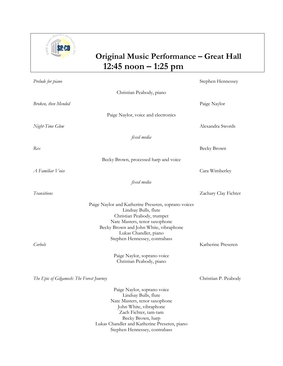

## **Original Music Performance – Great Hall 12:45 noon – 1:25 pm**

| Prelude for piano                         |                                                                                                                                                                                                                                                | Stephen Hennessey    |
|-------------------------------------------|------------------------------------------------------------------------------------------------------------------------------------------------------------------------------------------------------------------------------------------------|----------------------|
|                                           | Christian Peabody, piano                                                                                                                                                                                                                       |                      |
| Broken, then Mended                       |                                                                                                                                                                                                                                                | Paige Naylor         |
|                                           | Paige Naylor, voice and electronics                                                                                                                                                                                                            |                      |
| Night-Time Glow                           |                                                                                                                                                                                                                                                | Alexandra Swords     |
|                                           | fixed media                                                                                                                                                                                                                                    |                      |
| Rex                                       |                                                                                                                                                                                                                                                | Becky Brown          |
|                                           | Becky Brown, processed harp and voice                                                                                                                                                                                                          |                      |
| A Familiar Voice                          |                                                                                                                                                                                                                                                | Cara Wimberley       |
|                                           | fixed media                                                                                                                                                                                                                                    |                      |
| <b>Transitions</b>                        |                                                                                                                                                                                                                                                | Zachary Clay Fichter |
| Corbels                                   | Paige Naylor and Katherine Preseren, soprano voices<br>Lindsay Bulls, flute<br>Christian Peabody, trumpet<br>Nate Masters, tenor saxophone<br>Becky Brown and John White, vibraphone<br>Lukas Chandler, piano<br>Stephen Hennessey, contrabass | Katherine Preseren   |
|                                           | Paige Naylor, soprano voice<br>Christian Peabody, piano                                                                                                                                                                                        |                      |
| The Epic of Gilgamesh: The Forest Journey |                                                                                                                                                                                                                                                | Christian P. Peabody |
|                                           | Paige Naylor, soprano voice<br>Lindsay Bulls, flute<br>Nate Masters, tenor saxophone<br>John White, vibraphone<br>Zach Fichter, tam-tam<br>Becky Brown, harp<br>Lukas Chandler and Katherine Preseren, piano<br>Stephen Hennessey, contrabass  |                      |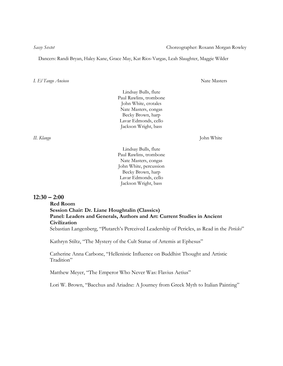Dancers: Randi Bryan, Haley Kane, Grace May, Kat Rios-Vargas, Leah Slaughter, Maggie Wilder

*I. El Tango Ancioso* Nate Masters

Lindsay Bulls, flute Paul Rawlins, trombone John White, crotales Nate Masters, congas Becky Brown, harp Lavar Edmonds, cello Jackson Wright, bass

*II. Klango* John White

Lindsay Bulls, flute Paul Rawlins, trombone Nate Masters, congas John White, percussion Becky Brown, harp Lavar Edmonds, cello Jackson Wright, bass

## **12:30 – 2:00**

## **Red Room Session Chair: Dr. Liane Houghtalin (Classics) Panel: Leaders and Generals, Authors and Art: Current Studies in Ancient Civilization** Sebastian Langenberg, "Plutarch's Perceived Leadership of Pericles, as Read in the *Pericles*"

Kathryn Stiltz, "The Mystery of the Cult Statue of Artemis at Ephesus"

Catherine Anna Carbone, "Hellenistic Influence on Buddhist Thought and Artistic Tradition"

Matthew Meyer, "The Emperor Who Never Was: Flavius Aetius"

Lori W. Brown, "Bacchus and Ariadne: A Journey from Greek Myth to Italian Painting"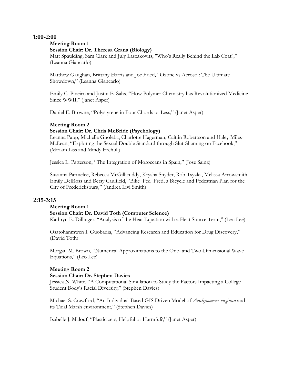## **1:00-2:00**

## **Meeting Room 1**

## **Session Chair: Dr. Theresa Grana (Biology)**

Matt Spaulding, Sam Clark and July Laszakovits, "Who's Really Behind the Lab Coat?," (Leanna Giancarlo)

Matthew Gaughan, Brittany Harris and Joe Fried, "Ozone vs Aerosol: The Ultimate Showdown," (Leanna Giancarlo)

Emily C. Pineiro and Justin E. Sahs, "How Polymer Chemistry has Revolutionized Medicine Since WWII," (Janet Asper)

Daniel E. Browne, "Polystyrene in Four Chords or Less," (Janet Asper)

## **Meeting Room 2**

## **Session Chair: Dr. Chris McBride (Psychology)**

Leanna Papp, Michelle Gnoleba, Charlotte Hagerman, Caitlin Robertson and Haley Miles-McLean, "Exploring the Sexual Double Standard through Slut-Shaming on Facebook," (Miriam Liss and Mindy Erchull)

Jessica L. Patterson, "The Integration of Moroccans in Spain," (Jose Sainz)

Susanna Parmelee, Rebecca McGillicuddy, Krysha Snyder, Rob Tsyzka, Melissa Arrowsmith, Emily DelRoss and Betsy Caulfield, "Bike|Ped|Fred, a Bicycle and Pedestrian Plan for the City of Fredericksburg," (Andrea Livi Smith)

## **2:15-3:15**

## **Meeting Room 1**

## **Session Chair: Dr. David Toth (Computer Science)**

Kathryn E. Dillinger, "Analysis of the Heat Equation with a Heat Source Term," (Leo Lee)

Osatohanmwen I. Guobadia, "Advancing Research and Education for Drug Discovery," (David Toth)

Morgan M. Brown, "Numerical Approximations to the One- and Two-Dimensional Wave Equations," (Leo Lee)

## **Meeting Room 2**

## **Session Chair: Dr. Stephen Davies**

Jessica N. White, "A Computational Simulation to Study the Factors Impacting a College Student Body's Racial Diversity," (Stephen Davies)

Michael S. Crawford, "An Individual-Based GIS Driven Model of *Aeschynomene virginica* and its Tidal Marsh environment," (Stephen Davies)

Isabelle J. Malouf, "Plasticizers, Helpful or Harmful?," (Janet Asper)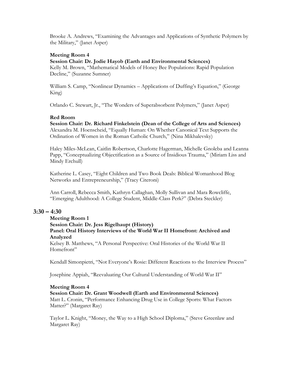Brooke A. Andrews, "Examining the Advantages and Applications of Synthetic Polymers by the Military," (Janet Asper)

## **Meeting Room 4**

## **Session Chair: Dr. Jodie Hayob (Earth and Environmental Sciences)**

Kelly M. Brown, "Mathematical Models of Honey Bee Populations: Rapid Population Decline," (Suzanne Sumner)

William S. Camp, "Nonlinear Dynamics – Applications of Duffing's Equation," (George King)

Orlando C. Stewart, Jr., "The Wonders of Superabsorbent Polymers," (Janet Asper)

## **Red Room**

**Session Chair: Dr. Richard Finkelstein (Dean of the College of Arts and Sciences)** Alexandra M. Hoenscheid, "Equally Human: On Whether Canonical Text Supports the Ordination of Women in the Roman Catholic Church," (Nina Mikhalevsky)

Haley Miles-McLean, Caitlin Robertson, Charlotte Hagerman, Michelle Gnoleba and Leanna Papp, "Conceptualizing Objectification as a Source of Insidious Trauma," (Miriam Liss and Mindy Erchull)

Katherine L. Casey, "Eight Children and Two Book Deals: Biblical Womanhood Blog Networks and Entrepreneurship," (Tracy Citeroni)

Ann Carroll, Rebecca Smith, Kathryn Callaghan, Molly Sullivan and Mara Rowcliffe, "Emerging Adulthood: A College Student, Middle-Class Perk?" (Debra Steckler)

## **3:30 – 4:30**

**Meeting Room 1**

**Session Chair: Dr. Jess Rigelhaupt (History) Panel: Oral History Interviews of the World War II Homefront: Archived and Analyzed**

Kelsey B. Matthews, "A Personal Perspective: Oral Histories of the World War II Homefront"

Kendall Simonpietri, "Not Everyone's Rosie: Different Reactions to the Interview Process"

Josephine Appiah, "Reevaluating Our Cultural Understanding of World War II"

## **Meeting Room 4**

**Session Chair: Dr. Grant Woodwell (Earth and Environmental Sciences)** Matt L. Cronin, "Performance Enhancing Drug Use in College Sports: What Factors Matter?" (Margaret Ray)

Taylor L. Knight, "Money, the Way to a High School Diploma," (Steve Greenlaw and Margaret Ray)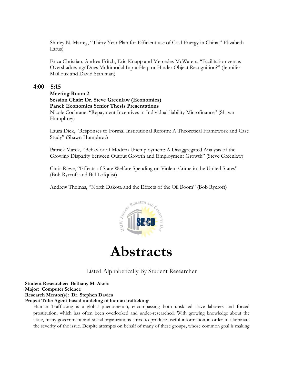Shirley N. Martey, "Thirty Year Plan for Efficient use of Coal Energy in China," Elizabeth Larus)

Erica Christian, Andrea Fritch, Eric Knapp and Mercedes McWaters, "Facilitation versus Overshadowing: Does Multimodal Input Help or Hinder Object Recognition?" (Jennifer Mailloux and David Stahlman)

## **4:00 – 5:15**

## **Meeting Room 2 Session Chair: Dr. Steve Greenlaw (Economics) Panel: Economics Senior Thesis Presentations**

Nicole Cochrane, "Repayment Incentives in Individual-liability Microfinance" (Shawn Humphrey)

Laura Dick, "Responses to Formal Institutional Reform: A Theoretical Framework and Case Study" (Shawn Humphrey)

Patrick Marek, "Behavior of Modern Unemployment: A Disaggregated Analysis of the Growing Disparity between Output Growth and Employment Growth" (Steve Greenlaw)

Chris Rieve, "Effects of State Welfare Spending on Violent Crime in the United States" (Bob Rycroft and Bill Lofquist)

Andrew Thomas, "North Dakota and the Effects of the Oil Boom" (Bob Rycroft)





Listed Alphabetically By Student Researcher

**Student Researcher: Bethany M. Akers Major: Computer Science Research Mentor(s): Dr. Stephen Davies**

**Project Title: Agent-based modeling of human trafficking**

Human Trafficking is a global phenomenon, encompassing both unskilled slave laborers and forced prostitution, which has often been overlooked and under-researched. With growing knowledge about the issue, many government and social organizations strive to produce useful information in order to illuminate the severity of the issue. Despite attempts on behalf of many of these groups, whose common goal is making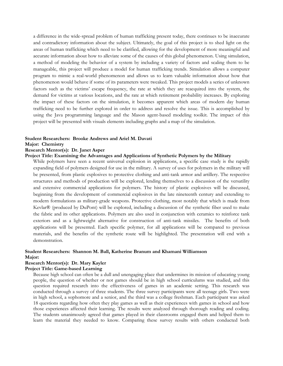a difference in the wide-spread problem of human trafficking present today, there continues to be inaccurate and contradictory information about the subject. Ultimately, the goal of this project is to shed light on the areas of human trafficking which need to be clarified, allowing for the development of more meaningful and accurate information about how to alleviate some of the causes of this global phenomenon. Using simulation, a method of modeling the behavior of a system by including a variety of factors and scaling them to be manageable, this project will produce a model for human trafficking trends. Simulation allows a computer program to mimic a real-world phenomenon and allows us to learn valuable information about how that phenomenon would behave if some of its parameters were tweaked. This project models a series of unknown factors such as the victims' escape frequency, the rate at which they are reacquired into the system, the demand for victims at various locations, and the rate at which retirement probability increases. By exploring the impact of these factors on the simulation, it becomes apparent which areas of modern day human trafficking need to be further explored in order to address and resolve the issue. This is accomplished by using the Java programming language and the Mason agent-based modeling toolkit. The impact of this project will be presented with visuals elements including graphs and a map of the simulation.

## **Student Researchers: Brooke Andrews and Ariel M. Davati**

## **Major: Chemistry**

## **Research Mentor(s): Dr. Janet Asper**

## **Project Title: Examining the Advantages and Applications of Synthetic Polymers by the Military**

While polymers have seen a recent universal explosion in applications, a specific case study is the rapidly expanding field of polymers designed for use in the military. A survey of uses for polymers in the military will be presented, from plastic explosives to protective clothing and anti-tank armor and artillery. The respective structures and methods of production will be explored, lending themselves to a discussion of the versatility and extensive commercial applications for polymers. The history of plastic explosives will be discussed, beginning from the development of commercial explosives in the late nineteenth century and extending to modern formulations as military-grade weapons. Protective clothing, most notably that which is made from Kevlar® (produced by DuPont) will be explored, including a discussion of the synthetic fiber used to make the fabric and its other applications. Polymers are also used in conjunction with ceramics to reinforce tank exteriors and as a lightweight alternative for construction of anti-tank missiles. The benefits of both applications will be presented. Each specific polymer, for all applications will be compared to previous materials, and the benefits of the synthetic route will be highlighted. The presentation will end with a demonstration.

## **Student Researchers: Shannon M. Ball, Katherine Branum and Khamani Williamson Major:**

#### **Research Mentor(s): Dr. Mary Kayler**

#### **Project Title: Game-based Learning**

Because high school can often be a dull and unengaging place that undermines its mission of educating young people, the question of whether or not games should be in high school curriculums was studied, and this question required research into the effectiveness of games in an academic setting. This research was conducted through a survey of three students. The three survey participants were all teenage girls. Two were in high school, a sophomore and a senior, and the third was a college freshman. Each participant was asked 18 questions regarding how often they play games as well as their experiences with games in school and how those experiences affected their learning. The results were analyzed through thorough reading and coding. The students unanimously agreed that games played in their classrooms engaged them and helped them to learn the material they needed to know. Comparing these survey results with others conducted both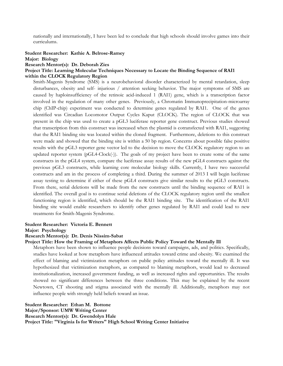nationally and internationally, I have been led to conclude that high schools should involve games into their curriculums.

## **Student Researcher: Kathie A. Belrose-Ramey**

#### **Major: Biology**

**Research Mentor(s): Dr. Deborah Zies**

## **Project Title: Learning Molecular Techniques Necessary to Locate the Binding Sequence of RAI1 within the CLOCK Regulatory Region**

Smith-Magenis Syndrome (SMS) is a neurobehavioral disorder characterized by mental retardation, sleep disturbances, obesity and self- injurious / attention seeking behavior. The major symptoms of SMS are caused by haploinsufficiency of the retinoic acid-induced 1 (RAI1) gene, which is a transcription factor involved in the regulation of many other genes. Previously, a Chromatin Immunoprecipitation-microarray chip (ChIP-chip) experiment was conducted to determine genes regulated by RAI1. One of the genes identified was Circadian Locomotor Output Cycles Kaput (CLOCK). The region of CLOCK that was present in the chip was used to create a pGL3 luciferase reporter gene construct. Previous studies showed that transcription from this construct was increased when the plasmid is cotransfected with RAI1, suggesting that the RAI1 binding site was located within the cloned fragment. Furthermore, deletions to this construct were made and showed that the binding site is within a 50 bp region. Concerns about possible false positive results with the pGL3 reporter gene vector led to the decision to move the CLOCK regulatory region to an updated reporter system (pGL4-Clock(-)). The goals of my project have been to create some of the same constructs in the pGL4 system, compare the luciferase assay results of the new pGL4 constructs against the previous pGL3 constructs, while learning core molecular biology skills. Currently, I have two successful constructs and am in the process of completing a third. During the summer of 2013 I will begin luciferase assay testing to determine if either of these pGL4 constructs give similar results to the pGL3 constructs. From there, serial deletions will be made from the new constructs until the binding sequence of RAI1 is identified. The overall goal is to continue serial deletions of the CLOCK regulatory region until the smallest functioning region is identified, which should be the RAI1 binding site. The identification of the RAI1 binding site would enable researchers to identify other genes regulated by RAI1 and could lead to new treatments for Smith-Magenis Syndrome.

## **Student Researcher: Victoria E. Bennett**

**Major: Psychology**

## **Research Mentor(s): Dr. Denis Nissim-Sabat**

## **Project Title: How the Framing of Metaphors Affects Public Policy Toward the Mentally Ill**

Metaphors have been shown to influence people decisions toward campaigns, ads, and politics. Specifically, studies have looked at how metaphors have influenced attitudes toward crime and obesity. We examined the effect of blaming and victimization metaphors on public policy attitudes toward the mentally ill. It was hypothesized that victimization metaphors, as compared to blaming metaphors, would lead to decreased institutionalization, increased government funding, as well as increased rights and opportunities. The results showed no significant differences between the three conditions. This may be explained by the recent Newtown, CT shooting and stigma associated with the mentally ill. Additionally, metaphors may not influence people with strongly held beliefs toward an issue.

**Student Researcher: Ethan M. Bottone Major/Sponsor: UMW Writing Center Research Mentor(s): Dr. Gwendolyn Hale Project Title: "Virginia Is for Writers" High School Writing Center Initiative**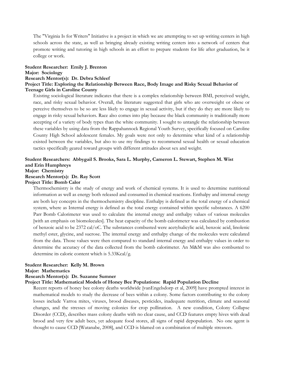The "Virginia Is for Writers" Initiative is a project in which we are attempting to set up writing centers in high schools across the state, as well as bringing already existing writing centers into a network of centers that promote writing and tutoring in high schools in an effort to prepare students for life after graduation, be it college or work.

## **Student Researcher: Emily J. Brenton**

#### **Major: Sociology**

## **Research Mentor(s): Dr. Debra Schleef**

## **Project Title: Exploring the Relationship Between Race, Body Image and Risky Sexual Behavior of Teenage Girls in Caroline County**

Existing sociological literature indicates that there is a complex relationship between BMI, perceived weight, race, and risky sexual behavior. Overall, the literature suggested that girls who are overweight or obese or perceive themselves to be so are less likely to engage in sexual activity, but if they do they are more likely to engage in risky sexual behaviors. Race also comes into play because the black community is traditionally more accepting of a variety of body types than the white community. I sought to untangle the relationship between these variables by using data from the Rappahannock Regional Youth Survey, specifically focused on Caroline County High School adolescent females. My goals were not only to determine what kind of a relationship existed between the variables, but also to use my findings to recommend sexual health or sexual education tactics specifically geared toward groups with different attitudes about sex and weight.

## **Student Researchers: Abbygail S. Brooks, Sara L. Murphy, Cameron L. Stewart, Stephen M. Wist and Erin Humphreys Major: Chemistry**

## **Research Mentor(s): Dr. Ray Scott**

## **Project Title: Bomb Calor**

Thermochemistry is the study of energy and work of chemical systems. It is used to determine nutritional information as well as energy both released and consumed in chemical reactions. Enthalpy and internal energy are both key concepts in the thermochemistry discipline. Enthalpy is defined as the total energy of a chemical system, where as Internal energy is defined as the total energy contained within specific substances. A 6200 Parr Bomb Calorimeter was used to calculate the internal energy and enthalpy values of various molecules [with an emphasis on biomolecules]. The heat capacity of the bomb calorimeter was calculated by combustion of benzoic acid to be 2372 cal/oC. The substances combusted were acetylsalicylic acid, benzoic acid, linolenic methyl ester, glycine, and sucrose. The internal energy and enthalpy change of the molecules were calculated from the data. Those values were then compared to standard internal energy and enthalpy values in order to determine the accuracy of the data collected from the bomb calorimeter. An M&M was also combusted to determine its caloric content which is 5.33Kcal/g.

## **Student Researcher: Kelly M. Brown**

#### **Major: Mathematics**

## **Research Mentor(s): Dr. Suzanne Sumner**

## **Project Title: Mathematical Models of Honey Bee Populations: Rapid Population Decline**

Recent reports of honey bee colony deaths worldwide [vanEngelsdorp et al, 2009] have prompted interest in mathematical models to study the decrease of bees within a colony. Some factors contributing to the colony losses include Varroa mites, viruses, brood diseases, pesticides, inadequate nutrition, climate and seasonal changes, and the stresses of moving colonies for crop pollination. A new condition, Colony Collapse Disorder (CCD), describes mass colony deaths with no clear cause, and CCD features empty hives with dead brood and very few adult bees, yet adequate food stores, all signs of rapid depopulation. No one agent is thought to cause CCD [Watanabe, 2008], and CCD is blamed on a combination of multiple stressors.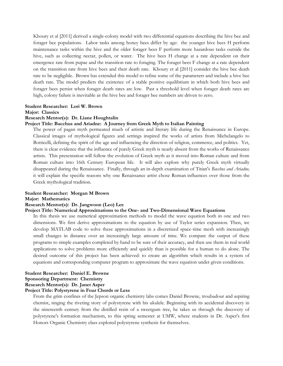Khoury et al [2011] derived a single-colony model with two differential equations describing the hive bee and forager bee populations. Labor tasks among honey bees differ by age: the younger hive bees H perform maintenance tasks within the hive and the older forager bees F perform more hazardous tasks outside the hive, such as collecting nectar, pollen, or water. The hive bees H change at a rate dependent on their emergence rate from pupae and the transition rate to foraging. The forager bees F change at a rate dependent on the transition rate from hive bees and their death rate. Khoury et al [2011] consider the hive bee death rate to be negligible. Brown has extended this model to refine some of the parameters and include a hive bee death rate. The model predicts the existence of a stable positive equilibrium in which both hive bees and forager bees persist when forager death rates are low. Past a threshold level when forager death rates are high, colony failure is inevitable as the hive bee and forager bee numbers are driven to zero.

#### **Student Researcher: Lori W. Brown**

#### **Major: Classics**

## **Research Mentor(s): Dr. Liane Houghtalin**

## **Project Title: Bacchus and Ariadne: A Journey from Greek Myth to Italian Painting**

The power of pagan myth permeated much of artistic and literary life during the Renaissance in Europe. Classical images of mythological figures and settings inspired the works of artists from Michelangelo to Botticelli, defining the spirit of the age and influencing the direction of religion, commerce, and politics. Yet, there is clear evidence that the influence of purely Greek myth is nearly absent from the works of Renaissance artists. This presentation will follow the evolution of Greek myth as it moved into Roman culture and from Roman culture into 16th Century European life. It will also explore why purely Greek myth virtually disappeared during the Renaissance. Finally, through an in-depth examination of Titian's *Bacchus and Ariadne,* it will explain the specific reasons why one Renaissance artist chose Roman influences over those from the Greek mythological tradition.

## **Student Researcher: Morgan M Brown**

## **Major: Mathematics**

#### **Research Mentor(s): Dr. Jangwoon (Leo) Lee**

## **Project Title: Numerical Approximations to the One- and Two-Dimensional Wave Equations**

In this thesis we use numerical approximation methods to model the wave equation both in one and two dimensions. We first derive approximations to the equation by use of Taylor series expansion. Then, we develop MATLAB code to solve these approximations in a discretized space-time mesh with increasingly small changes in distance over an increasingly large amount of time. We compare the output of these programs to simple examples completed by hand to be sure of their accuracy, and then use them in real world applications to solve problems more efficiently and quickly than is possible for a human to do alone. The desired outcome of this project has been achieved: to create an algorithm which results in a system of equations and corresponding computer program to approximate the wave equation under given conditions.

## **Student Researcher: Daniel E. Browne Sponsoring Department: Chemistry Research Mentor(s): Dr. Janet Asper**

## **Project Title: Polystyrene in Four Chords or Less**

From the grim confines of the Jepson organic chemistry labs comes Daniel Browne, troubadour and aspiring chemist, singing the riveting story of polystyrene with his ukulele. Beginning with its accidental discovery in the nineteenth century from the distilled resin of a sweetgum tree, he takes us through the discovery of polystyrene's formation mechanism, to this spring semester at UMW, where students in Dr. Asper's first Honors Organic Chemistry class explored polystyrene synthesis for themselves.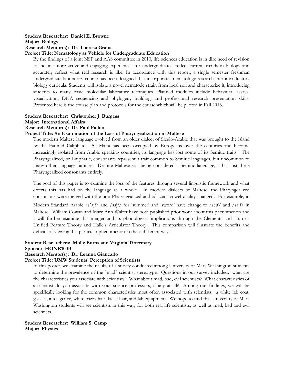## **Student Researcher: Daniel E. Browne Major: Biology Research Mentor(s): Dr. Theresa Grana**

## **Project Title: Nematology as Vehicle for Undergraduate Education**

By the findings of a joint NSF and AAS committee in 2010, life sciences education is in dire need of revision to include more active and engaging experiences for undergraduates, reflect current trends in biology and accurately reflect what real research is like. In accordance with this report, a single semester freshman undergraduate laboratory course has been designed that incorporates nematology research into introductory biology curricula. Students will isolate a novel nematode strain from local soil and characterize it, introducing students to many basic molecular laboratory techniques. Planned modules include behavioral assays, visualization, DNA sequencing and phylogeny building, and professional research presentation skills. Presented here is the course plan and protocols for the course which will be piloted in Fall 2013.

## **Student Researcher: Christopher J. Burgess**

**Major: International Affairs**

## **Research Mentor(s): Dr. Paul Fallon**

## **Project Title: An Examination of the Loss of Pharyngealization in Maltese**

The modern Maltese language evolved from an older dialect of Siculo-Arabic that was brought to the island by the Fatimid Caliphate. As Malta has been occupied by Europeans over the centuries and become increasingly isolated from Arabic speaking countries, its language has lost some of its Semitic traits. The Pharyngealized, or Emphatic, consonants represent a trait common to Semitic languages, but uncommon to many other language families. Despite Maltese still being considered a Semitic language, it has lost these Pharyngealized consonants entirely.

The goal of this paper is to examine the loss of the features through several linguistic framework and what effects this has had on the language as a whole. In modern dialects of Maltese, the Pharyngealized consonants were merged with the non-Pharyngealized and adjacent vowel quality changed. For example, in

Modern Standard Arabic /s<sup>s</sup>ajf/ and /sajf/ for 'summer' and 'sword' have change to /sejf/ and /sajf/ in Maltese. William Cowan and Mary Ann Walter have both published prior work about this phenomenon and I will further examine this merger and its phonological implications through the Clements and Hume's Unified Feature Theory and Halle's Articulator Theory. This comparison will illustrate the benefits and deficits of viewing this particular phenomenon in these different ways.

## **Student Researchers: Molly Burns and Virginia Tittermary**

## **Sponsor: HONR100B**

## **Research Mentor(s): Dr. Leanna Giancarlo**

## **Project Title: UMW Students' Perception of Scientists**

In this poster, we examine the results of a survey conducted among University of Mary Washington students to determine the prevalence of the "mad" scientist stereotype. Questions in our survey included: what are the characteristics you associate with scientists? What about mad, bad, evil scientists? What characteristics of a scientist do you associate with your science professors, if any at all? Among our findings, we will be specifically looking for the common characteristics most often associated with scientists: a white lab coat, glasses, intelligence, white frizzy hair, facial hair, and lab equipment. We hope to find that University of Mary Washington students will see scientists in this way, for both real life scientists, as well as mad, bad and evil scientists.

**Student Researcher: William S. Camp Major: Physics**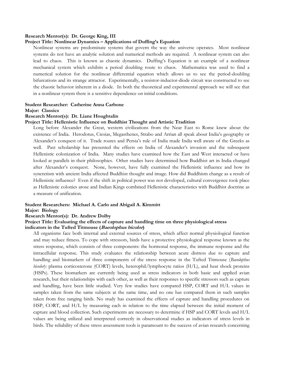#### **Research Mentor(s): Dr. George King, III**

## **Project Title: Nonlinear Dynamics – Applications of Duffing's Equation**

Nonlinear systems are predominate systems that govern the way the universe operates. Most nonlinear systems do not have an analytic solution and numerical methods are required. A nonlinear system can also lead to chaos. This is known as chaotic dynamics. Duffing's Equation is an example of a nonlinear mechanical system which exhibits a period doubling route to chaos. Mathematica was used to find a numerical solution for the nonlinear differential equation which allows us to see the period-doubling bifurcations and its strange attractor. Experimentally, a resistor-inductor-diode circuit was constructed to see the chaotic behavior inherent in a diode. In both the theoretical and experimental approach we will see that in a nonlinear system there is a sensitive dependence on initial conditions.

#### **Student Researcher: Catherine Anna Carbone Major: Classics**

## **Research Mentor(s): Dr. Liane Houghtalin**

#### **Project Title: Hellenistic Influence on Buddhist Thought and Artistic Tradition**

Long before Alexander the Great, western civilizations from the Near East to Rome knew about the existence of India. Herodotus, Ctesias, Megasthenes, Strabo and Arrian all speak about India's geography or Alexander's conquest of it. Trade routes and Persia's rule of India made India well aware of the Greeks as well. Past scholarship has presented the effects on India of Alexander's invasion and the subsequent Hellenistic colonization of India. Many studies have examined how the East and West interacted or have looked at parallels in their philosophies. Other studies have determined how Buddhist art in India changed after Alexander's conquest. None, however, have fully examined the Hellenistic influence and how its syncretism with ancient India affected Buddhist thought and image. How did Buddhism change as a result of Hellenistic influence? Even if the shift in political power was not developed, cultural convergence took place as Hellenistic colonies arose and Indian Kings combined Hellenistic characteristics with Buddhist doctrine as a measure of unification.

## **Student Researchers: Michael A. Carlo and Abigail A. Kimmitt**

## **Major: Biology**

## **Research Mentor(s): Dr. Andrew Dolby**

## **Project Title: Evaluating the effects of capture and handling time on three physiological stress indicators in the Tufted Titmouse (Baeolophus bicolor)**

All organisms face both internal and external sources of stress, which affect normal physiological function and may reduce fitness. To cope with stressors, birds have a protective physiological response known as the stress response, which consists of three components: the hormonal response, the immune response and the intracellular response. This study evaluates the relationship between acute distress due to capture and handling and biomarkers of three components of the stress response in the Tufted Titmouse (*Baeolophus bicolor*): plasma corticosterone (CORT) levels, heterophil/lymphocyte ratios (H/L), and heat shock proteins (HSPs). These biomarkers are currently being used as stress indicators in both basic and applied avian research, but their relationships with each other, as well as their responses to specific stressors such as capture and handling, have been little studied. Very few studies have compared HSP, CORT and H/L values in samples taken from the same subjects at the same time, and no one has compared them in such samples taken from free ranging birds. No study has examined the effects of capture and handling procedures on HSP, CORT, and H/L by measuring each in relation to the time elapsed between the initial moment of capture and blood collection. Such experiments are necessary to determine if HSP and CORT levels and H/L values are being utilized and interpreted correctly in observational studies as indicators of stress levels in birds. The reliability of these stress assessment tools is paramount to the success of avian research concerning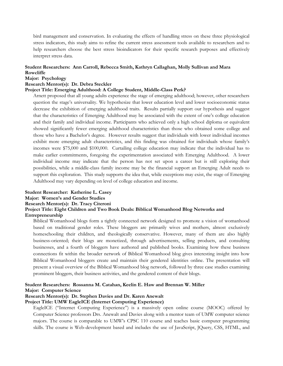bird management and conservation. In evaluating the effects of handling stress on these three physiological stress indicators, this study aims to refine the current stress assessment tools available to researchers and to help researchers choose the best stress bioindicators for their specific research purposes and effectively interpret stress data.

## **Student Researchers: Ann Carroll, Rebecca Smith, Kathryn Callaghan, Molly Sullivan and Mara Rowcliffe**

## **Major: Psychology**

## **Research Mentor(s): Dr. Debra Steckler**

## **Project Title: Emerging Adulthood: A College Student, Middle-Class Perk?**

Arnett proposed that all young adults experience the stage of emerging adulthood; however, other researchers question the stage's universality. We hypothesize that lower education level and lower socioeconomic status decrease the exhibition of emerging adulthood traits. Results partially support our hypothesis and suggest that the characteristics of Emerging Adulthood may be associated with the extent of one's college education and their family and individual income. Participants who achieved only a high school diploma or equivalent showed significantly fewer emerging adulthood characteristics than those who obtained some college and those who have a Bachelor's degree. However results suggest that individuals with lower individual incomes exhibit more emerging adult characteristics, and this finding was obtained for individuals whose family's incomes were \$75,000 and \$100,000. Curtailing college education may indicate that the individual has to make earlier commitments, foregoing the experimentation associated with Emerging Adulthood. A lower individual income may indicate that the person has not set upon a career but is still exploring their possibilities, while a middle-class family income may be the financial support an Emerging Adult needs to support this exploration. This study supports the idea that, while exceptions may exist, the stage of Emerging Adulthood may vary depending on level of college education and income.

## **Student Researcher: Katherine L. Casey Major: Women's and Gender Studies Research Mentor(s): Dr. Tracy Citeroni Project Title: Eight Children and Two Book Deals: Biblical Womanhood Blog Networks and Entrepreneurship**

Biblical Womanhood blogs form a tightly connected network designed to promote a vision of womanhood based on traditional gender roles. These bloggers are primarily wives and mothers, almost exclusively homeschooling their children, and theologically conservative. However, many of them are also highly business-oriented; their blogs are monetized, through advertisements, selling products, and consulting businesses, and a fourth of bloggers have authored and published books. Examining how these business connections fit within the broader network of Biblical Womanhood blog gives interesting insight into how Biblical Womanhood bloggers create and maintain their gendered identities online. The presentation will present a visual overview of the Biblical Womanhood blog network, followed by three case studies examining prominent bloggers, their business activities, and the gendered content of their blogs.

## **Student Researchers: Rossanna M. Catahan, Keelin E. Haw and Brennan W. Miller Major: Computer Science**

## **Research Mentor(s): Dr. Stephen Davies and Dr. Karen Anewalt**

## **Project Title: UMW EagleICE (Internet Computing Experience)**

EagleICE ("Internet Computing Experience") is a massively open online course (MOOC) offered by Computer Science professors Drs. Anewalt and Davies along with a mentor team of UMW computer science majors. The course is comparable to UMW's CPSC 110 course and teaches basic computer programming skills. The course is Web-development based and includes the use of JavaScript, JQuery, CSS, HTML, and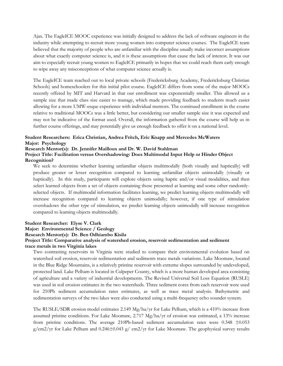Ajax. The EagleICE MOOC experience was initially designed to address the lack of software engineers in the industry while attempting to recruit more young women into computer science courses. The EagleICE team believed that the majority of people who are unfamiliar with the discipline usually make incorrect assumptions about what exactly computer science is, and it is these assumptions that cause the lack of interest. It was our aim to especially recruit young women to EagleICE primarily in hopes that we could reach them early enough to wipe away any misconceptions of what computer science actually is.

The EagleICE team reached out to local private schools (Fredericksburg Academy, Fredericksburg Christian Schools) and homeschoolers for this initial pilot course. EagleICE differs from some of the major MOOCs recently offered by MIT and Harvard in that our enrollment was exponentially smaller. This allowed us a sample size that made class size easier to manage, which made providing feedback to students much easier allowing for a more UMW-esque experience with individual mentors. The continued enrollment in the course relative to traditional MOOCs was a little better, but considering our smaller sample size it was expected and may not be indicative of the format used. Overall, the information gathered from the course will help us in further course offerings, and may potentially give us enough feedback to offer it on a national level.

## **Student Researchers: Erica Christian, Andrea Fritch, Eric Knapp and Mercedes McWaters Major: Psychology**

## **Research Mentor(s): Dr. Jennifer Mailloux and Dr. W. David Stahlman**

## **Project Title: Facilitation versus Overshadowing: Does Multimodal Input Help or Hinder Object Recognition?**

We seek to determine whether learning unfamiliar objects multimodally (both visually and haptically) will produce greater or lesser recognition compared to learning unfamiliar objects unimodally (visually or haptically). In this study, participants will explore objects using haptic and/or visual modalities, and then select learned objects from a set of objects containing those presented at learning and some other randomlyselected objects. If multimodal information facilitates learning, we predict learning objects multimodally will increase recognition compared to learning objects unimodally; however, if one type of stimulation overshadows the other type of stimulation, we predict learning objects unimodally will increase recognition compared to learning objects multimodally.

## **Student Researcher: Elyse V. Clark**

#### **Major: Environmental Science / Geology**

**Research Mentor(s): Dr. Ben Odhiambo Kisila**

## **Project Title: Comparative analysis of watershed erosion, reservoir sedimentation and sediment trace metals in two Virginia lakes**

Two contrasting reservoirs in Virginia were studied to compare their environmental evolution based on watershed soil erosion, reservoir sedimentation and sediments trace metals variations. Lake Moomaw, located in the Blue Ridge Mountains, is a relatively pristine reservoir with extreme slopes surrounded by undeveloped, protected land. Lake Pelham is located in Culpeper County, which is a more human developed area consisting of agriculture and a variety of industrial developments. The Revised Universal Soil Loss Equation (RUSLE) was used in soil erosion estimates in the two watersheds. Three sediment cores from each reservoir were used for 210Pb sediment accumulation rates estimates, as well as trace metal analysis. Bathymetric and sedimentation surveys of the two lakes were also conducted using a multi-frequency echo sounder system.

The RUSLE/SDR erosion model estimates 2.149 Mg/ha/yr for Lake Pelham, which is a 410% increase from assumed pristine conditions. For Lake Moomaw, 2.717 Mg/ha/yr of erosion was estimated, a 13% increase from pristine conditions. The average 210Pb-based sediment accumulation rates were 0.348 ±0.053  $g/cm2/yr$  for Lake Pelham and  $0.246\pm0.043$  g/ cm2/yr for Lake Moomaw. The geophysical survey results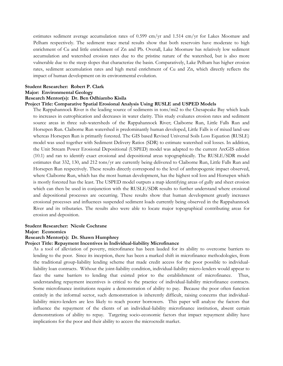estimates sediment average accumulation rates of 0.599 cm/yr and 1.514 cm/yr for Lakes Moomaw and Pelham respectively. The sediment trace metal results show that both reservoirs have moderate to high enrichment of Cu and little enrichment of Zn and Pb. Overall, Lake Moomaw has relatively low sediment accumulation and watershed erosion rates due to the pristine nature of the watershed, but is also more vulnerable due to the steep slopes that characterize the basin. Comparatively, Lake Pelham has higher erosion rates, sediment accumulation rates and high metal enrichment of Cu and Zn, which directly reflects the impact of human development on its environmental evolution.

#### **Student Researcher: Robert P. Clark Major: Environmental Geology**

## **Research Mentor(s): Dr. Ben Odhiambo Kisila**

#### **Project Title: Comparative Spatial Erosional Analysis Using RUSLE and USPED Models**

The Rappahannock River is the leading source of sediments in tons/mi2 to the Chesapeake Bay which leads to increases in eutrophication and decreases in water clarity. This study evaluates erosion rates and sediment source areas in three sub-watersheds of the Rappahannock River; Claiborne Run, Little Falls Run and Horsepen Run. Claiborne Run watershed is predominantly human developed, Little Falls is of mixed land-use whereas Horsepen Run is primarily forested. The GIS based Revised Universal Soils Loss Equation (RUSLE) model was used together with Sediment Delivery Ratios (SDR) to estimate watershed soil losses. In addition, the Unit Stream Power Erosional Depositional (USPED) model was adapted to the current ArcGIS edition (10.1) and ran to identify exact erosional and depositional areas topographically. The RUSLE/SDR model estimates that 332, 130, and 212 tons/yr are currently being delivered to Claiborne Run, Little Falls Run and Horsepen Run respectively. These results directly correspond to the level of anthropogenic impact observed, where Claiborne Run, which has the most human development, has the highest soil loss and Horsepen which is mostly forested has the least. The USPED model outputs a map identifying areas of gully and sheet erosion which can then be used in conjunction with the RUSLE/SDR results to further understand where erosional and depositional processes are occurring. These results show that human development greatly increases erosional processes and influences suspended sediment loads currently being observed in the Rappahannock River and its tributaries. The results also were able to locate major topographical contributing areas for erosion and deposition.

## **Student Researcher: Nicole Cochrane**

**Major: Economics**

#### **Research Mentor(s): Dr. Shawn Humphrey**

#### **Project Title: Repayment Incentives in Individual-liability Microfinance**

As a tool of alleviation of poverty, microfinance has been lauded for its ability to overcome barriers to lending to the poor. Since its inception, there has been a marked shift in microfinance methodologies, from the traditional group-liability lending scheme that made credit access for the poor possible to individualliability loan contracts. Without the joint-liability condition, individual-liability micro-lenders would appear to face the same barriers to lending that existed prior to the establishment of microfinance. Thus, understanding repayment incentives is critical to the practice of individual-liability microfinance contracts. Some microfinance institutions require a demonstration of ability to pay. Because the poor often function entirely in the informal sector, such demonstration is inherently difficult, raising concerns that individualliability micro-lenders are less likely to reach poorer borrowers. This paper will analyze the factors that influence the repayment of the clients of an individual-liability microfinance institution, absent certain demonstrations of ability to repay. Targeting socio-economic factors that impact repayment ability have implications for the poor and their ability to access the microcredit market.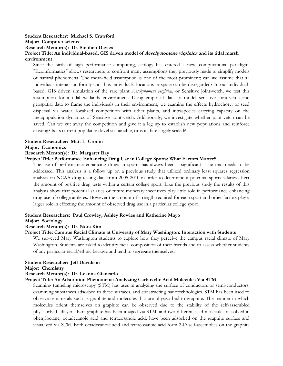## **Student Researcher: Michael S. Crawford**

**Major: Computer science**

**Research Mentor(s): Dr. Stephen Davies**

## **Project Title: An individual-based, GIS driven model of Aeschynomene virginica and its tidal marsh environment**

Since the birth of high performance computing, ecology has entered a new, computational paradigm. "Ecoinformatics" allows researchers to confront many assumptions they previously made to simplify models of natural phenomena. The mean-field assumption is one of the most prominent; can we assume that all individuals interact uniformly and thus individuals' locations in space can be disregarded? In our individualbased, GIS driven simulation of the rare plant *Aeschynomene virginica*, or Sensitive joint-vetch, we test this assumption for a tidal wetlands environment. Using empirical data to model sensitive joint-vetch and geospatial data to frame the individuals in their environment, we examine the effects hydrochory, or seed dispersal via water, localized competition with other plants, and intraspecies carrying capacity on the metapopulation dynamics of Sensitive joint-vetch. Additionally, we investigate whether joint-vetch can be saved. Can we cut away the competition and give it a leg up to establish new populations and reinforce existing? Is its current population level sustainable, or is its fate largely sealed?

## **Student Researcher: Matt L. Cronin**

#### **Major: Economics**

## **Research Mentor(s): Dr. Margaret Ray**

## **Project Title: Performance Enhancing Drug Use in College Sports: What Factors Matter?**

The use of performance enhancing drugs in sports has always been a significant issue that needs to be addressed. This analysis is a follow up on a previous study that utilized ordinary least squares regression analysis on NCAA drug testing data from 2005-2010 in order to determine if potential sports salaries effect the amount of positive drug tests within a certain college sport. Like the previous study the results of this analysis show that potential salaries or future monetary incentives play little role in performance enhancing drug use of college athletes. However the amount of strength required for each sport and other factors play a larger role in effecting the amount of observed drug use in a particular college sport.

## **Student Researchers: Paul Crowley, Ashley Rowles and Katherine Mayo**

## **Major: Sociology**

## **Research Mentor(s): Dr. Nora Kim**

## **Project Title: Campus Racial Climate at University of Mary Washington: Interaction with Students**

We surveyed Mary Washington students to explore how they perceive the campus racial climate of Mary Washington. Students are asked to identify racial composition of their friends and to assess whether students of any particular racial/ethnic background tend to segregate themselves.

## **Student Researcher: Jeff Davidson**

#### **Major: Chemistry**

## **Research Mentor(s): Dr. Leanna Giancarlo**

## **Project Title: An Adsorption Phenomena: Analyzing Carboxylic Acid Molecules Via STM**

Scanning tunneling microscopy (STM) has uses in analyzing the surface of conductors or semi-conductors, examining substances adsorbed to these surfaces, and constructing nanotechnologies. STM has been used to observe semimetals such as graphite and molecules that are physisorbed to graphite. The manner in which molecules orient themselves on graphite can be observed due to the stability of the self-assembled physisorbed adlayer. Bare graphite has been imaged via STM, and two different acid molecules dissolved in phenyloctane, octadecanoic acid and tetracosanoic acid, have been adsorbed on the graphite surface and visualized via STM. Both octadecanoic acid and tetracosanoic acid form 2-D self-assemblies on the graphite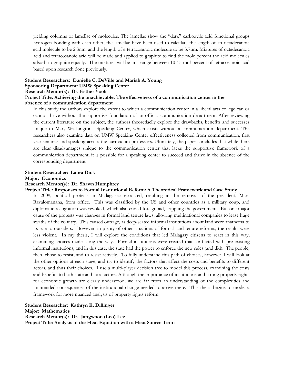yielding columns or lamellae of molecules. The lamellae show the "dark" carboxylic acid functional groups hydrogen bonding with each other; the lamellae have been used to calculate the length of an octadecanoic acid molecule to be 2.3nm, and the length of a tetracosanoic molecule to be 3.7nm. Mixtures of octadecanoic acid and tetracosanoic acid will be made and applied to graphite to find the mole percent the acid molecules adsorb to graphite equally. The mixtures will be in a range between 10-15 mol percent of tetracosanoic acid based upon research done previously.

## **Student Researchers: Danielle C. DeVille and Mariah A. Young Sponsoring Department: UMW Speaking Center Research Mentor(s): Dr. Esther Yook**

## **Project Title: Achieving the unachievable: The effeciveness of a communication center in the absence of a communication department**

In this study the authors explore the extent to which a communication center in a liberal arts college can or cannot thrive without the supportive foundation of an official communication department. After reviewing the current literature on the subject, the authors theoretiaclly explore the drawbacks, benefits and successes unique to Mary Washington's Speaking Center, which exists without a communication department. The researchers also examine data on UMW Speaking Center effectiveness collected from communication, first year seminar and speaking-across-the-curriculum professors. Ultimately, the paper concludes that while there are clear disadvantages unique to the communication center that lacks the supportive framework of a communication department, it is possible for a speaking center to succeed and thrive in the absence of the corresponding department.

## **Student Researcher: Laura Dick**

#### **Major: Economics**

## **Research Mentor(s): Dr. Shawn Humphrey**

#### **Project Title: Responses to Formal Institutional Reform: A Theoretical Framework and Case Study**

In 2009, political protests in Madagascar escalated, resulting in the removal of the president, Marc Ravalomanana, from office. This was classified by the US and other countries as a military coup, and diplomatic recognition was revoked, which also ended foreign aid, crippling the government. But one major cause of the protests was changes in formal land tenure laws, allowing multinational companies to lease huge swaths of the country. This caused outrage, as deep-seated informal institutions about land were anathema to its sale to outsiders. However, in plenty of other situations of formal land tenure reforms, the results were less violent. In my thesis, I will explore the conditions that led Malagasy citizens to react in this way, examining choices made along the way. Formal institutions were created that conflicted with pre-existing informal institutions, and in this case, the state had the power to enforce the new rules (and did). The people, then, chose to resist, and to resist actively. To fully understand this path of choices, however, I will look at the other options at each stage, and try to identify the factors that affect the costs and benefits to different actors, and thus their choices. I use a multi-player decision tree to model this process, examining the costs and benefits to both state and local actors. Although the importance of institutions and strong property rights for economic growth are clearly understood, we are far from an understanding of the complexities and unintended consequences of the institutional change needed to arrive there. This thesis begins to model a framework for more nuanced analysis of property rights reform.

**Student Researcher: Kathryn E. Dillinger Major: Mathematics Research Mentor(s): Dr. Jangwoon (Leo) Lee Project Title: Analysis of the Heat Equation with a Heat Source Term**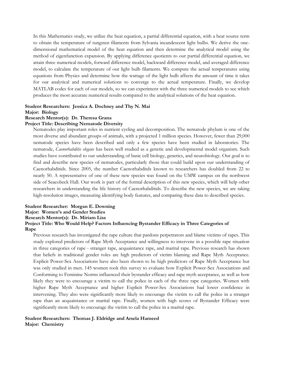In this Mathematics study, we utilize the heat equation, a partial differential equation, with a heat source term to obtain the temperature of tungsten filaments from Sylvania incandescent light bulbs. We derive the onedimensional mathematical model of the heat equation and then determine the analytical model using the method of eigenfunction expansion. By applying difference quotients to our partial differential equation, we attain three numerical models, forward difference model, backward difference model, and averaged difference model, to calculate the temperature of our light bulb filaments. We compute the actual temperatures using equations from Physics and determine how the wattage of the light bulb affects the amount of time it takes for our analytical and numerical solutions to converge to the actual temperature. Finally, we develop MATLAB codes for each of our models, so we can experiment with the three numerical models to see which produces the most accurate numerical results compared to the analytical solutions of the heat equation.

## **Student Researchers: Jessica A. Dochney and Thy N. Mai**

## **Major: Biology**

## **Research Mentor(s): Dr. Theresa Grana**

## **Project Title: Describing Nematode Diversity**

Nematodes play important roles in nutrient cycling and decomposition. The nematode phylum is one of the most diverse and abundant groups of animals, with a projected 1 million species. However, fewer than 29,000 nematode species have been described and only a few species have been studied in laboratories. The nematode, *Caenorhabditis elegans* has been well studied as a genetic and developmental model organism. Such studies have contributed to our understanding of basic cell biology, genetics, and neurobiology. Our goal is to find and describe new species of nematodes, particularly those that could build upon our understanding of Caenorhabditids. Since 2005, the number Caenorhabditds known to researchers has doubled from 22 to nearly 50. A representative of one of these new species was found on the UMW campus on the northwest side of Seacobeck Hall. Our work is part of the formal description of this new species, which will help other researchers in understanding the life history of Caenorhabditids. To describe the new species, we are taking high-resolution images, measuring identifying body features, and comparing these data to described species.

## **Student Researcher: Morgan E. Downing**

## **Major: Women's and Gender Studies**

**Research Mentor(s): Dr. Miriam Liss**

## **Project Title: Who Would Help? Factors Influencing Bystander Efficacy in Three Categories of Rape**

Previous research has investigated the rape culture that pardons perpetrators and blame victims of rapes. This study explored predictors of Rape Myth Acceptance and willingness to intervene in a possible rape situation in three categories of rape - stranger rape, acquaintance rape, and marital rape. Previous research has shown that beliefs in traditional gender roles are high predictors of victim blaming and Rape Myth Acceptance. Explicit Power-Sex Associations have also been shown to be high predictors of Rape Myth Acceptance but was only studied in men. 145 women took this survey to evaluate how Explicit Power-Sex Associations and Conforming to Feminine Norms influenced their bystander efficacy and rape myth acceptance, as well as how likely they were to encourage a victim to call the police in each of the three rape categories. Women with higher Rape Myth Acceptance and higher Explicit Power-Sex Associations had lower confidence in intervening. They also were significantly more likely to encourage the victim to call the police in a stranger rape than an acquaintance or marital rape. Finally, women with high scores of Bystander Efficacy were significantly more likely to encourage the victim to call the police in a marital rape.

## **Student Researchers: Thomas J. Eldridge and Arsela Hameed Major: Chemistry**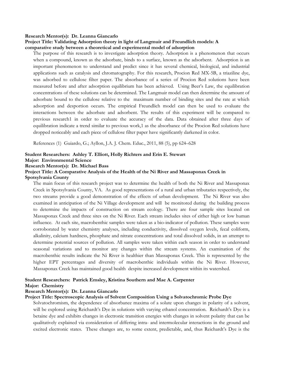#### **Research Mentor(s): Dr. Leanna Giancarlo**

## **Project Title: Validating Adsorption theory in light of Langmuir and Freundlich models: A comparative study between a theoretical and experimental model of adsorption**

The purpose of this research is to investigate adsorption theory. Adsorption is a phenomenon that occurs when a compound, known as the adsorbate, binds to a surface, known as the adsorbent. Adsorption is an important phenomenon to understand and predict since it has several chemical, biological, and industrial applications such as catalysis and chromatography. For this research, Procion Red MX-5B, a triaziline dye, was adsorbed to cellulose filter paper. The absorbance of a series of Procion Red solutions have been measured before and after adsorption equilibrium has been achieved. Using Beer's Law, the equilibration concentrations of these solutions can be determined. The Langmuir model can then determine the amount of adsorbate bound to the cellulose relative to the maximum number of binding sites and the rate at which adsorption and desportion occurs. The empirical Freundlich model can then be used to evaluate the interactions between the adsorbate and adsorbent. The results of this experiment will be compared to previous research1 in order to evaluate the accuracy of the data. Data obtained after three days of equilibration indicate a trend similar to previous work,1 as the absorbance of the Procion Red solutions have dropped noticeably and each piece of cellulose filter paper have significantly darkened in color.

References (1) Guiardo, G.; Ayllon, J.A. J. Chem. Educ., 2011, 88 (5), pp 624–628

#### **Student Researchers: Ashley T. Elliott, Holly Richters and Erin E. Stewart**

## **Major: Environmental Science**

## **Research Mentor(s): Dr. Michael Bass**

## **Project Title: A Comparative Analysis of the Health of the Ni River and Massaponax Creek in**

## **Spotsylvania County**

The main focus of this research project was to determine the health of both the Ni River and Massaponax Creek in Spotsylvania County, VA. As good representations of a rural and urban tributaries respectively, the two streams provide a good demonstration of the effects of urban development. The Ni River was also examined in anticipation of the Ni Village development and will be monitored during the building process to determine the impacts of construction on stream ecology. There are four sample sites located on Massaponax Creek and three sites on the Ni River. Each stream includes sites of either high or low human influence. At each site, macrobenthic samples were taken as a bio-indicator of pollution. These samples were corroborated by water chemistry analyses, including conductivity, dissolved oxygen levels, fecal coliform, alkalinity, calcium hardness, phosphate and nitrate concentrations and total dissolved solids, in an attempt to determine potential sources of pollution. All samples were taken within each season in order to understand seasonal variations and to monitor any changes within the stream systems. An examination of the macrobenthic results indicate the Ni River is healthier than Massaponax Creek. This is represented by the higher EPT percentages and diversity of macrobenthic individuals within the Ni River. However, Massaponax Creek has maintained good health despite increased development within its watershed.

## **Student Researchers: Patrick Emsley, Kristina Southern and Mae A. Carpenter**

#### **Major: Chemistry**

#### **Research Mentor(s): Dr. Leanna Giancarlo**

## **Project Title: Spectroscopic Analysis of Solvent Composition Using a Solvatochromic Probe Dye**

Solvatochromism, the dependence of absorbance maxima of a solute upon changes in polarity of a solvent, will be explored using Reichardt's Dye in solutions with varying ethanol concentration. Reichardt's Dye is a betaine dye and exhibits changes in electronic transition energies with changes in solvent polarity that can be qualitatively explained via consideration of differing intra- and intermolecular interactions in the ground and excited electronic states. These changes are, to some extent, predictable, and, thus Reichardt's Dye is the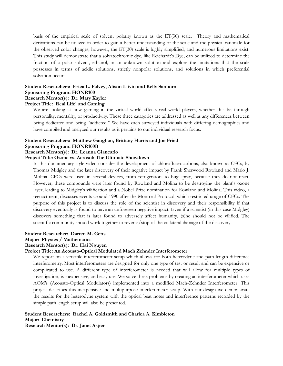basis of the empirical scale of solvent polarity known as the ET(30) scale. Theory and mathematical derivations can be utilized in order to gain a better understanding of the scale and the physical rationale for the observed color changes; however, the ET(30) scale is highly simplified, and numerous limitations exist. This study will demonstrate that a solvatochromic dye, like Reichardt's Dye, can be utilized to determine the fraction of a polar solvent, ethanol, in an unknown solution and explore the limitations that the scale possesses in terms of acidic solutions, strictly nonpolar solutions, and solutions in which preferential solvation occurs.

## **Student Researchers: Erica L. Falvey, Alison Litvin and Kelly Sanborn Sponsoring Program: HONR100 Research Mentor(s): Dr. Mary Kayler**

## **Project Title: 'Real Life' and Gaming**

We are looking at how gaming in the virtual world affects real world players, whether this be through personality, mentality, or productivity. These three catagories are addressed as well as any differences between being dedicated and being "addicted." We have each surveyed individuals with differing demographics and have compiled and analyzed our results as it pertains to our individual research focus.

## **Student Researchers: Matthew Gaughan, Brittany Harris and Joe Fried Sponsoring Program: HONR100B**

## **Research Mentor(s): Dr. Leanna Giancarlo**

## **Project Title: Ozone vs. Aerosol: The Ultimate Showdown**

In this documentary style video consider the development of chlorofluorocarbons, also known as CFCs, by Thomas Midgley and the later discovery of their negative impact by Frank Sherwood Rowland and Mario J. Molina. CFCs were used in several devices, from refrigerators to bug spray, because they do not react. However, these compounds were later found by Rowland and Molina to be destroying the plant's ozone layer, leading to Midgley's vilification and a Nobel Prize nomination for Rowland and Molina. This video, a reenactment, discusses events around 1990 after the Montreal Protocol, which restricted usage of CFCs. The purpose of this project is to discuss the role of the scientist in discovery and their responsibility if that discovery eventually is found to have an unforeseen negative impact. Even if a scientist (in this case Midgley) discovers something that is later found to adversely affect humanity, (s)he should not be vilified. The scientific community should work together to reverse/stop of the collateral damage of the discovery.

## **Student Researcher: Darren M. Getts**

## **Major: Physics / Mathematics**

## **Research Mentor(s): Dr. Hai Nguyen**

## **Project Title: An Acousto-Optical Modulated Mach Zehnder Interferometer**

We report on a versatile interferometer setup which allows for both heterodyne and path length difference interferometry. Most interferometers are designed for only one type of test or result and can be expensive or complicated to use. A different type of interferometer is needed that will allow for multiple types of investigation, is inexpensive, and easy use. We solve these problems by creating an interferometer which uses AOM's (Acousto-Optical Modulators) implemented into a modified Mach-Zehnder Interferometer. This project describes this inexpensive and multipurpose interferometer setup. With our design we demonstrate the results for the heterodyne system with the optical beat notes and interference patterns recorded by the simple path length setup will also be presented.

## **Student Researchers: Rachel A. Goldsmith and Charlea A. Kimbleton Major: Chemistry Research Mentor(s): Dr. Janet Asper**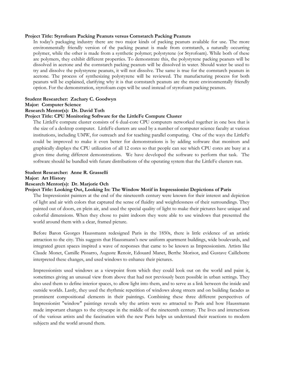## **Project Title: Styrofoam Packing Peanuts versus Cornstarch Packing Peanuts**

In today's packaging industry there are two major kinds of packing peanuts available for use. The more environmentally friendly version of the packing peanut is made from cornstarch, a naturally occurring polymer, while the other is made from a synthetic polymer; polystyrene (or Styrofoam). While both of these are polymers, they exhibit different properties. To demonstrate this, the polystyrene packing peanuts will be dissolved in acetone and the cornstarch packing peanuts will be dissolved in water. Should water be used to try and dissolve the polystyrene peanuts, it will not dissolve. The same is true for the cornstarch peanuts in acetone. The process of synthesizing polystyrene will be reviewed. The manufacturing process for both peanuts will be explained, clarifying why it is that cornstarch peanuts are the more environmentally friendly option. For the demonstration, styrofoam cups will be used instead of styrofoam packing peanuts.

## **Student Researcher: Zachary C. Goodwyn**

#### **Major: Computer Science**

## **Research Mentor(s): Dr. David Toth**

## **Project Title: CPU Monitoring Software for the LittleFe Compute Cluster**

The LittleFe compute cluster consists of 6 dual-core CPU computers networked together in one box that is the size of a desktop computer. LittleFe clusters are used by a number of computer science faculty at various institutions, including UMW, for outreach and for teaching parallel computing. One of the ways the LittleFe could be improved to make it even better for demonstrations is by adding software that monitors and graphically displays the CPU utilization of all 12 cores so that people can see which CPU cores are busy at a given time during different demonstrations. We have developed the software to perform that task. The software should be bundled with future distributions of the operating system that the LittleFe clusters run.

## **Student Researcher: Anne R. Grasselli Major: Art History**

#### **Research Mentor(s): Dr. Marjorie Och**

## **Project Title: Looking Out, Looking In: The Window Motif in Impressionist Depictions of Paris**

The Impressionist painters at the end of the nineteenth century were known for their interest and depiction of light and air with colors that captured the sense of fluidity and weightlessness of their surroundings. They painted out of doors, en plein air, and used the special quality of light to make their pictures have unique and colorful dimensions. When they chose to paint indoors they were able to use windows that presented the world around them with a clear, framed picture.

Before Baron Georges Haussmann redesigned Paris in the 1850s, there is little evidence of an artistic attraction to the city. This suggests that Haussmann's new uniform apartment buildings, wide boulevards, and integrated green spaces inspired a wave of responses that came to be known as Impressionism. Artists like Claude Monet, Camille Pissarro, Auguste Renoir, Edouard Manet, Berthe Morisot, and Gustave Caillebotte interpreted these changes, and used windows to enhance their pictures.

Impressionists used windows as a viewpoint from which they could look out on the world and paint it, sometimes giving an unusual view from above that had not previously been possible in urban settings. They also used them to define interior spaces, to allow light into them, and to serve as a link between the inside and outside worlds. Lastly, they used the rhythmic repetition of windows along streets and on building facades as prominent compositional elements in their paintings. Combining these three different perspectives of Impressionist "window" paintings reveals why the artists were so attracted to Paris and how Haussmann made important changes to the cityscape in the middle of the nineteenth century. The lives and interactions of the various artists and the fascination with the new Paris helps us understand their reactions to modern subjects and the world around them.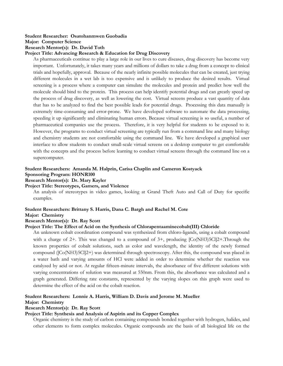## **Student Researcher: Osatohanmwen Guobadia**

**Major: Computer Science**

**Research Mentor(s): Dr. David Toth**

## **Project Title: Advancing Research & Education for Drug Discovery**

As pharmaceuticals continue to play a large role in our lives to cure diseases, drug discovery has become very important. Unfortunately, it takes many years and millions of dollars to take a drug from a concept to clinical trials and hopefully, approval. Because of the nearly infinite possible molecules that can be created, just trying different molecules in a wet lab is too expensive and is unlikely to produce the desired results. Virtual screening is a process where a computer can simulate the molecules and protein and predict how well the molecule should bind to the protein. This process can help identify potential drugs and can greatly speed up the process of drug discovery, as well as lowering the cost. Virtual screens produce a vast quantity of data that has to be analyzed to find the best possible leads for potential drugs. Processing this data manually is extremely time-consuming and error-prone. We have developed software to automate the data processing, speeding it up significantly and eliminating human errors. Because virtual screening is so useful, a number of pharmaceutical companies use the process. Therefore, it is very helpful for students to be exposed to it. However, the programs to conduct virtual screening are typically run from a command line and many biology and chemistry students are not comfortable using the command line. We have developed a graphical user interface to allow students to conduct small-scale virtual screens on a desktop computer to get comfortable with the concepts and the process before learning to conduct virtual screens through the command line on a supercomputer.

## **Student Researchers: Amanda M. Halprin, Carisa Chaplin and Cameron Kostyack Sponsoring Program: HONR100**

## **Research Mentor(s): Dr. Mary Kayler**

## **Project Title: Stereotypes, Gamers, and Violence**

An analysis of stereotypes in video games, looking at Grand Theft Auto and Call of Duty for specific examples.

## **Student Researchers: Brittany S. Harris, Dana C. Bargh and Rachel M. Cote**

## **Major: Chemistry**

## **Research Mentor(s): Dr. Ray Scott**

## **Project Title: The Effect of Acid on the Synthesis of Chlorapentaaminecobalt(III) Chloride**

An unknown cobalt coordination compound was synthesized from chloro-ligands, using a cobalt compound with a charge of 2+. This was changed to a compound of 3+, producing  $[Co(NH3)5Cl]2+$ . Through the known properties of cobalt solutions, such as color and wavelength, the identity of the newly formed compound ([Co(NH3)5Cl]2+) was determined through spectroscopy. After this, the compound was placed in a water bath and varying amounts of HCl were added in order to determine whether the reaction was catalyzed by acid or not. At regular fifteen-minute intervals, the absorbance of five different solutions with varying concentrations of solution was measured at 550nm. From this, the absorbance was calculated and a graph generated. Differing rate constants, represented by the varying slopes on this graph were used to determine the effect of the acid on the cobalt reaction.

## **Student Researchers: Lonnie A. Harris, William D. Davis and Jerome M. Mueller**

## **Major: Chemistry**

## **Research Mentor(s): Dr. Ray Scott**

## **Project Title: Synthesis and Analysis of Aspirin and its Copper Complex**

Organic chemistry is the study of carbon containing compounds bonded together with hydrogen, halides, and other elements to form complex molecules. Organic compounds are the basis of all biological life on the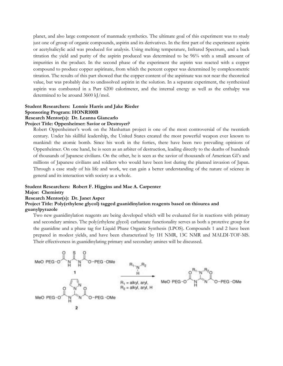planet, and also large component of manmade synthetics. The ultimate goal of this experiment was to study just one of group of organic compounds, aspirin and its derivatives. In the first part of the experiment aspirin or acetylsalicylic acid was produced for analysis. Using melting temperature, Infrared Spectrum, and a back titration the yield and purity of the aspirin produced was determined to be 96% with a small amount of impurities in the product. In the second phase of the experiment the aspirin was reacted with a copper compound to produce copper aspirinate, from which the percent copper was determined by complexometric titration. The results of this part showed that the copper content of the aspirinate was not near the theoretical value, but was probably due to undissolved aspirin in the solution. In a separate experiment, the synthesized aspirin was combusted in a Parr 6200 calorimeter, and the internal energy as well as the enthalpy was determined to be around 3600 kJ/mol.

## **Student Researchers: Lonnie Harris and Jake Rieder Sponsoring Program: HONR100B Research Mentor(s): Dr. Leanna Giancarlo**

## **Project Title: Oppenheimer: Savior or Destroyer?**

Robert Oppenheimer's work on the Manhattan project is one of the most controversial of the twentieth century. Under his skillful leadership, the United States created the most powerful weapon ever known to mankind: the atomic bomb. Since his work in the forties, there have been two prevailing opinions of Oppenheimer. On one hand, he is seen as an arbiter of destruction, leading directly to the deaths of hundreds of thousands of Japanese civilians. On the other, he is seen as the savior of thousands of American GI's and millions of Japanese civilians and soldiers who would have been lost during the planned invasion of Japan. Through a case study of his life and work, we can gain a better understanding of the nature of science in general and its interaction with society as a whole.

## **Student Researchers: Robert F. Higgins and Mae A. Carpenter**

## **Major: Chemistry**

## **Research Mentor(s): Dr. Janet Asper**

## **Project Title: Poly(ethylene glycol) tagged guanidinylation reagents based on thiourea and guanylpyrazole**

Two new guanidinylation reagents are being developed which will be evaluated for in reactions with primary and secondary amines. The poly(ethylene glycol) carbamate functionality serves as both a protetive group for the guanidine and a phase tag for Liquid Phase Organic Synthesis (LPOS). Compounds 1 and 2 have been prepared in modest yields, and have been characterized by 1H NMR, 13C NMR and MALDI-TOF-MS. Their effectiveness in guanidinylating primary and secondary amines will be discussed.

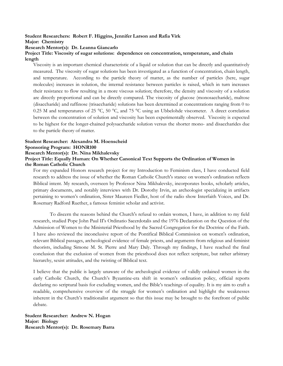## **Student Researchers: Robert F. Higgins, Jennifer Larson and Rafia Virk**

**Major: Chemistry**

#### **Research Mentor(s): Dr. Leanna Giancarlo**

## **Project Title: Viscosity of sugar solutions: dependence on concentration, temperature, and chain length**

Viscosity is an important chemical characteristic of a liquid or solution that can be directly and quantitatively measured. The viscosity of sugar solutions has been investigated as a function of concentration, chain length, and temperature. According to the particle theory of matter, as the number of particles (here, sugar molecules) increases in solution, the internal resistance between particles is raised, which in turn increases their resistance to flow resulting in a more viscous solution; therefore, the density and viscosity of a solution are directly proportional and can be directly compared. The viscosity of glucose (monosaccharide), maltose (disaccharide) and raffinose (trisaccharide) solutions has been determined at concentrations ranging from 0 to 0.25 M and temperatures of 25 °C, 50 °C, and 75 °C using an Ubbelohde viscometer. A direct correlation between the concentration of solution and viscosity has been experimentally observed. Viscosity is expected to be highest for the longer-chained polysaccharide solution versus the shorter mono- and disaccharides due to the particle theory of matter.

## **Student Researcher: Alexandra M. Hoenscheid Sponsoring Program: HONR100**

**Research Mentor(s): Dr. Nina Mikhalevsky**

## **Project Title: Equally Human: On Whether Canonical Text Supports the Ordination of Women in the Roman Catholic Church**

For my expanded Honors research project for my Introduction to Feminism class, I have conducted field research to address the issue of whether the Roman Catholic Church's stance on women's ordination reflects Biblical intent. My research, overseen by Professor Nina Mikhalevsky, incorporates books, scholarly articles, primary documents, and notably interviews with Dr. Dorothy Irvin, an archeologist specializing in artifacts pertaining to women's ordination, Sister Maureen Fiedler, host of the radio show Interfaith Voices, and Dr. Rosemary Radford Ruether, a famous feminist scholar and activist.

To discern the reasons behind the Church's refusal to ordain women, I have, in addition to my field research, studied Pope John Paul II's Ordinatio Sacerdotalis and the 1976 Declaration on the Question of the Admission of Women to the Ministerial Priesthood by the Sacred Congregation for the Doctrine of the Faith. I have also reviewed the inconclusive report of the Pontifical Biblical Commission on women's ordination, relevant Biblical passages, archeological evidence of female priests, and arguments from religious and feminist theorists, including Simone M. St. Pierre and Mary Daly. Through my findings, I have reached the final conclusion that the exclusion of women from the priesthood does not reflect scripture, but rather arbitrary hierarchy, sexist attitudes, and the twisting of Biblical text.

I believe that the public is largely unaware of the archeological evidence of validly ordained women in the early Catholic Church, the Church's Byzantine-era shift in women's ordination policy, official reports declaring no scriptural basis for excluding women, and the Bible's teachings of equality. It is my aim to craft a readable, comprehensive overview of the struggle for women's ordination and highlight the weaknesses inherent in the Church's traditionalist argument so that this issue may be brought to the forefront of public debate.

**Student Researcher: Andrew N. Hogan Major: Biology Research Mentor(s): Dr. Rosemary Barra**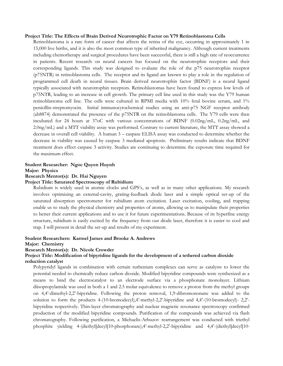## **Project Title: The Effects of Brain Derived Neurotrophic Factor on Y79 Retinoblastoma Cells**

Retinoblastoma is a rare form of cancer that affects the retina of the eye, occurring in approximately 1 in 15,000 live births, and it is also the most common type of inherited malignancy. Although current treatments including chemotherapy and surgical procedures have been successful, there is still a high rate of reoccurrence in patients. Recent research on neural cancers has focused on the neurotrophin receptors and their corresponding ligands. This study was designed to evaluate the role of the p75 neurotrophin receptor (p75NTR) in retinoblastoma cells. The receptor and its ligand are known to play a role in the regulation of programmed cell death in neural tissues. Brain derived neurotrophin factor (BDNF) is a neural ligand typically associated with neurotrophin receptors. Retinoblastomas have been found to express low levels of p75NTR, leading to an increase in cell growth. The primary cell line used in this study was the Y79 human retinoblastoma cell line. The cells were cultured in RPMI media with 10% fetal bovine serum, and 1% penicillin-streptomyocin. Initial immunocytochemical studies using an anti-p75 NGF receptor antibody (ab8874) demonstrated the presence of the p75NTR on the retinoblastoma cells. The Y79 cells were then incubated for 24 hours at 37oC with various concentrations of BDNF (0.02ng/mL, 0.2ng/mL, and 2.0ng/mL) and a MTT viability assay was performed. Contrary to current literature, the MTT assay showed a decrease in overall cell viability. A human 3 – caspase ELISA assay was conducted to determine whether the decrease in viability was caused by caspase 3 mediated apoptosis. Preliminary results indicate that BDNF treatment does effect caspase 3 activity. Studies are continuing to determine the exposure time required for the maximum effect.

## **Student Researcher: Ngoc Quyen Huynh Major: Physics Research Mentor(s): Dr. Hai Nguyen**

## **Project Title: Saturated Spectroscopy of Rubidium**

Rubidium is widely used in atomic clocks and GPS's, as well as in many other applications. My research involves optimizing an external-cavity, grating-feedback diode laser and a simple optical set-up of the saturated absorption spectrometer for rubidium atom excitation. Laser excitation, cooling, and trapping enable us to study the physical chemistry and properties of atoms, allowing us to manipulate their properties to better their current applications and to use it for future experimentations. Because of its hyperfine energy structure, rubidium is easily excited by the frequency from our diode laser, therefore it is easier to cool and trap. I will present in detail the set-up and results of my experiment.

## **Student Researchers: Karmel James and Brooke A. Andrews**

## **Major: Chemistry**

## **Research Mentor(s): Dr. Nicole Crowder**

## **Project Title: Modification of bipyridine ligands for the development of a tethered carbon dioxide reduction catalyst**

Polypyridyl ligands in combination with certain ruthenium complexes can serve as catalysts to lower the potential needed to chemically reduce carbon dioxide. Modified bipyridine compounds were synthesized as a means to bind the electrocatalyst to an electrode surface via a phosphonate monolayer. Lithium diisopropylamide was used in both a 1 and 2.5 molar equivalence to remove a proton from the methyl groups on 4,4'-dimethyl-2,2'-bipyridine. Following the proton removal, 1,9-dibromononane was added to the solution to form the products 4-(10-bromodecyl),4'-methyl-2,2'-bipyridine and 4,4'-(10-bromodecyl)- 2,2' bipyridine respectively. Thin-layer chromatography and nuclear magnetic resonance spectroscopy confirmed production of the modified bipyridine compounds. Purification of the compounds was achieved via flash chromatography. Following purification, a Michaelis-Arbuzov rearrangement was conducted with triethyl phosphite yielding 4-(diethyl[decyl]10-phosphonate),4'-methyl-2,2'-bipyridine and 4,4'-(diethyl[decyl]10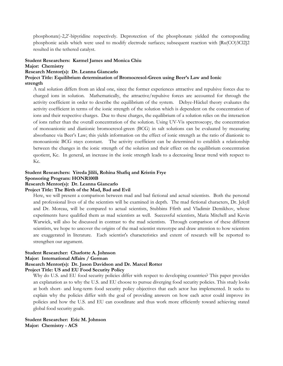phosphonate)-2,2'-bipyridine respectively. Deprotection of the phosphonate yielded the corresponding phosphonic acids which were used to modify electrode surfaces; subsequent reaction with [Ru(CO)3Cl2]2 resulted in the tethered catalyst.

## **Student Researchers: Karmel James and Monica Chiu Major: Chemistry**

## **Research Mentor(s): Dr. Leanna Giancarlo**

**Project Title: Equilibrium determination of Bromocresol-Green using Beer's Law and Ionic strength**

A real solution differs from an ideal one, since the former experiences attractive and repulsive forces due to charged ions in solution. Mathematically, the attractive/repulsive forces are accounted for through the activity coefficient in order to describe the equilibrium of the system. Debye-Hückel theory evaluates the activity coefficient in terms of the ionic strength of the solution which is dependent on the concentration of ions and their respective charges. Due to these charges, the equilibrium of a solution relies on the interaction of ions rather than the overall concentration of the solution. Using UV-Vis spectroscopy, the concentration of monoanionic and dianionic bromocresol-green (BCG) in salt solutions can be evaluated by measuring absorbance via Beer's Law; this yields information on the effect of ionic strength as the ratio of dianionic to monoanionic BCG stays constant. The activity coefficient can be determined to establish a relationship between the changes in the ionic strength of the solution and their effect on the equilibrium concentration quotient, Kc. In general, an increase in the ionic strength leads to a decreasing linear trend with respect to Kc.

## **Student Researchers: Yireda Jilili, Rohina Shafiq and Kristin Frye Sponsoring Program: HONR100B**

#### **Research Mentor(s): Dr. Leanna Giancarlo**

## **Project Title: The Birth of the Mad, Bad and Evil**

Here, we will present a comparison between mad and bad fictional and actual scientists. Both the personal and professional lives of al the scientists will be examined in depth. The mad fictional characters, Dr. Jekyll and Dr. Moreau, will be compared to actual scientists, Stubbins Ffirth and Vladimir Demikhov, whose experiments have qualified them as mad scientists as well. Successful scientists, Maria Mitchell and Kevin Warwick, will also be discussed in contrast to the mad scientists. Through comparison of these different scientists, we hope to uncover the origins of the mad scientist stereotype and draw attention to how scientists are exaggerated in literature. Each scientist's characteristics and extent of research will be reported to strengthen our argument.

## **Student Researcher: Charlotte A. Johnson**

**Major: International Affairs / German**

## **Research Mentor(s): Dr. Jason Davidson and Dr. Marcel Rotter**

## **Project Title: US and EU Food Security Policy**

Why do U.S. and EU food security policies differ with respect to developing countries? This paper provides an explanation as to why the U.S. and EU choose to pursue diverging food security policies. This study looks at both short- and long-term food security policy objectives that each actor has implemented. It seeks to explain why the policies differ with the goal of providing answers on how each actor could improve its policies and how the U.S. and EU can coordinate and thus work more efficiently toward achieving stated global food security goals.

**Student Researcher: Eric M. Johnson Major: Chemistry - ACS**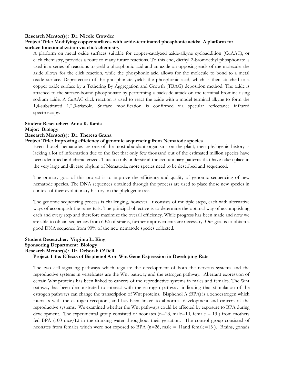#### **Research Mentor(s): Dr. Nicole Crowder**

## **Project Title: Modifying copper surfaces with azide-terminated phosphonic acids: A platform for surface functionalization via click chemistry**

A platform on metal oxide surfaces suitable for copper-catalyzed azide-alkyne cycloaddition (CuAAC), or click chemistry, provides a route to many future reactions. To this end, diethyl 2-bromoethyl phosphonate is used in a series of reactions to yield a phosphonic acid and an azide on opposing ends of the molecule: the azide allows for the click reaction, while the phosphonic acid allows for the molecule to bond to a metal oxide surface. Deprotection of the phosphonate yields the phosphonic acid, which is then attached to a copper oxide surface by a Tethering By Aggregation and Growth (TBAG) deposition method. The azide is attached to the surface-bound phosphonate by performing a backside attack on the terminal bromine using sodium azide. A CuAAC click reaction is used to react the azide with a model terminal alkyne to form the 1,4-substituted 1,2,3-triazole. Surface modification is confirmed via specular reflectance infrared spectroscopy.

## **Student Researcher: Anna K. Kania**

## **Major: Biology**

## **Research Mentor(s): Dr. Theresa Grana**

## **Project Title: Improving efficiency of genomic sequencing from Nematode species**

Even though nematodes are one of the most abundant organisms on the plant, their phylogenic history is lacking a lot of information due to the fact that only few thousand out of the estimated million species have been identified and characterized. Thus to truly understand the evolutionary patterns that have taken place in the very large and diverse phylum of Nematoda, more species need to be described and sequenced.

The primary goal of this project is to improve the efficiency and quality of genomic sequencing of new nematode species. The DNA sequences obtained through the process are used to place those new species in context of their evolutionary history on the phylogenic tree.

The genomic sequencing process is challenging, however. It consists of multiple steps, each with alternative ways of accomplish the same task. The principal objective is to determine the optimal way of accomplishing each and every step and therefore maximize the overall efficiency. While progress has been made and now we are able to obtain sequences from 60% of strains, further improvements are necessary. Our goal is to obtain a good DNA sequence from 90% of the new nematode species collected.

## **Student Researcher: Virginia L. King Sponsoring Department: Biology Research Mentor(s): Dr. Deborah O'Dell Project Title: Effects of Bisphenol A on Wnt Gene Expression in Developing Rats**

The two cell signaling pathways which regulate the development of both the nervous systems and the reproductive systems in vertebrates are the Wnt pathway and the estrogen pathway. Aberrant expression of certain Wnt proteins has been linked to cancers of the reproductive systems in males and females. The Wnt pathway has been demonstrated to interact with the estrogen pathway, indicating that stimulation of the estrogen pathways can change the transcription of Wnt proteins. Bisphenol A (BPA) is a xenoestrogen which interacts with the estrogen receptors, and has been linked to abnormal development and cancers of the reproductive systems. We examined whether the Wnt pathways could be affected by exposure to BPA during development. The experimental group consisted of neonates ( $n=23$ , male=10, female = 13) from mothers fed BPA (100 mcg/L) in the drinking water throughout their gestation. The control group consisted of neonates from females which were not exposed to BPA  $(n=26)$ , male = 11and female=13 ). Brains, gonads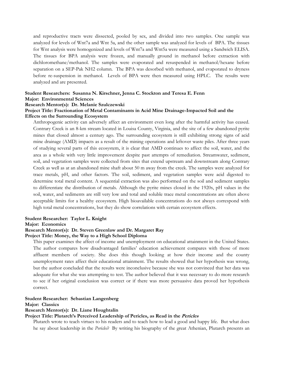and reproductive tracts were dissected, pooled by sex, and divided into two samples. One sample was analyzed for levels of Wnt7a and Wnt 5a, and the other sample was analyzed for levels of BPA. The tissues for Wnt analysis were homogenized and levels of Wnt7a and Wnt5a were measured using a Sandwich ELISA. The tissues for BPA analysis were frozen, and manually ground in methanol before extraction with dichloromethane/methanol. The samples were evaporated and resuspended in methanol/hexane before separation on a SEP-Pak NH2 column. The BPA was desorbed with methanol, and evaporated to dryness before re-suspension in methanol. Levels of BPA were then measured using HPLC. The results were analyzed and are presented.

## **Student Researchers: Susanna N. Kirschner, Jenna C. Stockton and Teresa E. Fenn Major: Environmental Sciences**

## **Research Mentor(s): Dr. Melanie Szulczewski**

## **Project Title: Fractionation of Metal Contaminants in Acid Mine Drainage-Impacted Soil and the Effects on the Surrounding Ecosystem**

Anthropogenic activity can adversely affect an environment even long after the harmful activity has ceased. Contrary Creek is an 8-km stream located in Louisa County, Virginia, and the site of a few abandoned pyrite mines that closed almost a century ago. The surrounding ecosystem is still exhibiting strong signs of acid mine drainage (AMD) impacts as a result of the mining operations and leftover waste piles. After three years of studying several parts of this ecosystem, it is clear that AMD continues to affect the soil, water, and the area as a whole with very little improvement despite past attempts of remediation. Streamwater, sediment, soil, and vegetation samples were collected from sites that extend upstream and downstream along Contrary Creek as well as at an abandoned mine shaft about 50 m away from the creek. The samples were analyzed for trace metals, pH, and other factors. The soil, sediment, and vegetation samples were acid digested to determine total metal content. A sequential extraction was also performed on the soil and sediment samples to differentiate the distribution of metals. Although the pyrite mines closed in the 1920s, pH values in the soil, water, and sediments are still very low and total and soluble trace metal concentrations are often above acceptable limits for a healthy ecosystem. High bioavailable concentrations do not always correspond with high total metal concentrations, but they do show correlations with certain ecosystem effects.

## **Student Researcher: Taylor L. Knight**

#### **Major: Economics**

## **Research Mentor(s): Dr. Steven Greenlaw and Dr. Margaret Ray**

## **Project Title: Money, the Way to a High School Diploma**

This paper examines the affect of income and unemployment on educational attainment in the United States. The author compares how disadvantaged families' education achievement compares with those of more affluent members of society. She does this though looking at how their income and the county unemployment rates affect their educational attainment. The results showed that her hypothesis was wrong, but the author concluded that the results were inconclusive because she was not convinced that her data was adequate for what she was attempting to test. The author believed that it was necessary to do more research to see if her original conclusion was correct or if there was more persuasive data proved her hypothesis correct.

## **Student Researcher: Sebastian Langenberg**

## **Major: Classics**

## **Research Mentor(s): Dr. Liane Houghtalin**

## **Project Title: Plutarch's Perceived Leadership of Pericles, as Read in the Pericles**

Plutarch wrote to teach virtues to his readers and to teach how to lead a good and happy life. But what does he say about leadership in the *Pericles*? By writing his biography of the great Athenian, Plutarch presents an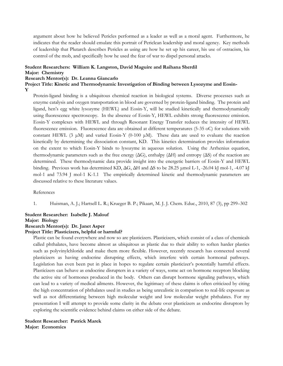argument about how he believed Pericles performed as a leader as well as a moral agent. Furthermore, he indicates that the reader should emulate this portrait of Periclean leadership and moral agency. Key methods of leadership that Plutarch describes Pericles as using are how he set up his career, his use of ostracism, his control of the mob, and specifically how he used the fear of war to dispel personal attacks.

## **Student Researchers: William K. Langston, David Maguire and Raihana Sherdil Major: Chemistry**

## **Research Mentor(s): Dr. Leanna Giancarlo**

**Project Title: Kinetic and Thermodynamic Investigation of Binding between Lysozyme and Eosin-**

## **Y**

Protein-ligand binding is a ubiquitous chemical reaction in biological systems. Diverse processes such as enzyme catalysis and oxygen transportation in blood are governed by protein-ligand binding. The protein and ligand, hen's egg white lysozyme (HEWL) and Eosin-Y, will be studied kinetically and thermodynamically using fluorescence spectroscopy. In the absence of Eosin-Y, HEWL exhibits strong fluorescence emission. Eosin-Y complexes with HEWL and through Resonant Energy Transfer reduces the intensity of HEWL fluorescence emission. Fluorescence data are obtained at different temperatures (5-35 oC) for solutions with constant HEWL (3  $\mu$ M) and varied Eosin-Y (0-100  $\mu$ M). These data are used to evaluate the reaction kinetically by determining the dissociation constant, KD. This kinetics determination provides information on the extent to which Eosin-Y binds to lysozyme in aqueous solution. Using the Arrhenius equation, thermodynamic parameters such as the free energy  $(\Delta G)$ , enthalpy  $(\Delta H)$  and entropy  $(\Delta S)$  of the reaction are determined. These thermodynamic data provide insight into the energetic barriers of Eosin-Y and HEWL binding. Previous work has determined KD,  $\Delta G$ ,  $\Delta H$  and  $\Delta S$  to be 28.25 µmol L-1, -26.04 kJ mol-1, -4.07 kJ mol-1 and 73.94 J mol-1 K-1.1 The empirically determined kinetic and thermodynamic parameters are discussed relative to these literature values.

#### References

1. Huisman, A. J.; Hartsell L. R.; Krueger B. P.; Pikaart, M. J. J. Chem. Educ., 2010, 87 (3), pp 299–302

### **Student Researcher: Isabelle J. Malouf**

### **Major: Biology**

## **Research Mentor(s): Dr. Janet Asper**

## **Project Title: Plasticizers, helpful or harmful?**

Plastic can be found everywhere and now so are plasticizers. Plasticizers, which consist of a class of chemicals called phthalates, have become almost as ubiquitous as plastic due to their ability to soften harder plastics such as polyvinylchloride and make them more flexible. However, recently research has connected several plasticizers as having endocrine disrupting effects, which interfere with certain hormonal pathways. Legislation has even been put in place in hopes to regulate certain plasticizer's potentially harmful effects. Plasticizers can behave as endocrine disrupters in a variety of ways, some act on hormone receptors blocking the active site of hormones produced in the body. Others can disrupt hormone signaling pathways, which can lead to a variety of medical ailments. However, the legitimacy of these claims is often criticized by citing the high concentration of phthalates used in studies as being unrealistic in comparison to real-life exposure as well as not differentiating between high molecular weight and low molecular weight phthalates. For my presentation I will attempt to provide some clarity in the debate over plasticizers as endocrine disruptors by exploring the scientific evidence behind claims on either side of the debate.

**Student Researcher: Patrick Marek Major: Economics**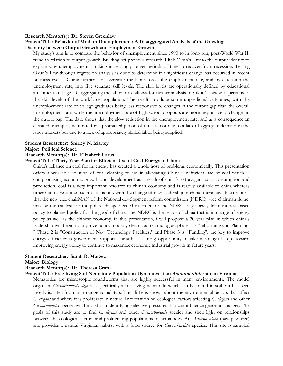#### **Research Mentor(s): Dr. Steven Greenlaw**

## **Project Title: Behavior of Modern Unemployment: A Disaggregated Analysis of the Growing Disparity between Output Growth and Employment Growth**

My study's aim is to compare the behavior of unemployment since 1990 to its long run, post-World War II, trend in relation to output growth. Building off previous research, I link Okun's Law to the output identity to explain why unemployment is taking increasingly longer periods of time to recover from recession. Testing Okun's Law through regression analysis is done to determine if a significant change has occurred in recent business cycles. Going further I disaggregate the labor force, the employment rate, and by extension the unemployment rate, into five separate skill levels. The skill levels are operationally defined by educational attainment and age. Disaggregating the labor force allows for further analysis of Okun's Law as it pertains to the skill levels of the workforce population. The results produce some unpredicted outcomes, with the unemployment rate of college graduates being less responsive to changes in the output gap than the overall unemployment rate, while the unemployment rate of high school dropouts are more responsive to changes in the output gap. The data shows that the slow reduction in the unemployment rate, and as a consequence an elevated unemployment rate for a protracted period of time, is not due to a lack of aggregate demand in the labor markets but due to a lack of appropriately skilled labor being supplied.

### **Student Researcher: Shirley N. Martey**

#### **Major: Political Science**

#### **Research Mentor(s): Dr. Elizabeth Larus**

## **Project Title: Thirty Year Plan for Efficient Use of Coal Energy in China**

China's reliance on coal for its energy has created a whole host of problems economically. This presentation offers a workable solution of coal cleaning to aid in alleviating China's inefficient use of coal which is compromising economic growth and development as a result of china's extravagant coal consumption and production. coal is a very important resource to china's economy and is readily available to china whereas other natural resources such as oil is not. with the change of new leadership in china, there have been reports that the new vice chairMAN of the National development reform commission (NDRC), vice chairman liu he, may be the catalyst for the policy change needed in order for the NDRC to get away from interest-based policy to planned policy for the good of china. the NDRC is the sector of china that is in charge of energy policy as well as the chinese economy. in this presentation, i will propose a 30 year plan in which china's leadership will begin to improve policy to apply clean coal technologies. phase 1 is "reForming and Planning, " Phase 2 is "Construction of New Technology Facilities," and Phase 3 is "Funding". the key to improve energy efficiency is government support. china has a strong opportunity to take meaningful steps toward improving energy policy to continue to maximize economic industrial growth in future years.

## **Student Researcher: Sarah R. Marzec**

#### **Major: Biology**

## **Research Mentor(s): Dr. Theresa Grana**

## **Project Title: Free-living Soil Nematode Population Dynamics at an Asimina tiloba site in Virginia**

Nematodes are microscopic roundworms that are highly successful in many environments. The model organism *Caenorhabditis elegans* is specifically a free-living nematode which can be found in soil but has been mostly isolated from anthropogenic habitats. Thus little is known about the environmental factors that affect *C. elegans* and where it is proliferate in nature. Information on ecological factors affecting *C. elegans* and other *Caenorhabditis* species will be useful in identifying selective pressures that can influence genomic changes. The goals of this study are to find *C. elegans* and other *Caenorhabditis* species and shed light on relationships between the ecological factors and proliferating populations of nematodes. An *Asimina tiloba* (paw paw tree) site provides a natural Virginian habitat with a food source for *Caenorhabditis* species. This site is sampled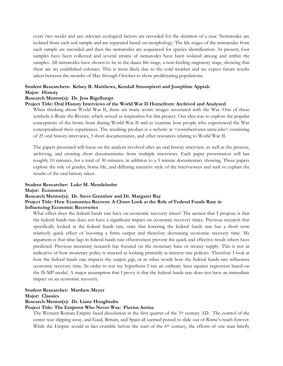every two weeks and any relevant ecological factors are recorded for the duration of a year. Nematodes are isolated from each soil sample and are separated based on morphology. The life stages of the nematodes from each sample are recorded and then the nematodes are sequenced for species identification. At present, four samples have been collected and several strains of nematodes have been isolated among and within the samples. All nematodes have shown to be in the dauer life-stage, a non-feeding migratory stage, showing that there are no established colonies. This is most likely due to the cold weather and we expect future results taken between the months of May through October to show proliferating populations.

## **Student Researchers: Kelsey B. Matthews, Kendall Simonpietri and Josephine Appiah Major: History**

#### **Research Mentor(s): Dr. Jess Rigelhaupt**

### **Project Title: Oral History Interviews of the World War II Homefront: Archived and Analyzed**

When thinking about World War II, there are many iconic images associated with the War. One of these symbols is Rosie the Riveter, which served as inspiration for this project. Our idea was to explore the popular conceptions of the home front during World War II and to examine how people who experienced the War conceptualized their experiences. The resulting product is a website at <rosietheriveter.umw.edu> consisting of 25 oral history interviews, 5 short documentaries, and other resources relating to World War II.

The papers presented will focus on the analysis involved after an oral history interview, as well as the process, archiving, and creating short documentaries from multiple interviews. Each paper presentation will last roughly 10 minutes, for a total of 30 minutes, in addition to a 5 minute documentary showing. These papers explore the role of gender, home life, and differing narrative style of the interviewees and seek to explain the results of the oral history taken.

## **Student Researcher: Luke M. Mendelsohn**

**Major: Economics**

#### **Research Mentor(s): Dr. Steve Greenlaw and Dr. Margaret Ray**

## **Project Title: How Economies Recover: A Closer Look at the Role of Federal Funds Rate in**

#### **Influencing Economic Recoveries**

What effect does the federal funds rate have on economic recovery times? The answer that I propose is that the federal funds rate does not have a significant impact on economic recovery times. Previous research that specifically looked at the federal funds rate, state that lowering the federal funds rate has a short term relatively quick effect of boosting a firms output and therefore decreasing economic recovery time. My argument is that time lags in federal funds rate effectiveness prevent the quick and effective result others have predicted. Previous monetary research has focused on the monetary base or money supply. This is not as indicative of how monetary policy is enacted as looking primarily at interest rate policies. Therefore I look at how the federal funds rate impacts the output gap, or in other words how the federal funds rate influences economic recovery time. In order to test my hypothesis I ran an ordinary least squares regression based on the IS-MP model. A major assumption that I prove is that the federal funds rate does not have an immediate impact on an economic recovery.

## **Student Researcher: Matthew Meyer**

#### **Major: Classics**

#### **Research Mentor(s): Dr. Liane Houghtalin**

#### **Project Title: The Emperor Who Never Was: Flavius Aetius**

The Western Roman Empire faced dissolution in the first quarter of the 5<sup>th</sup> century AD. The control of the center was slipping away, and Gaul, Britain, and Spain all seemed poised to slide out of Rome's reach forever. While the Empire would in fact crumble before the start of the  $6<sup>th</sup>$  century, the efforts of one man briefly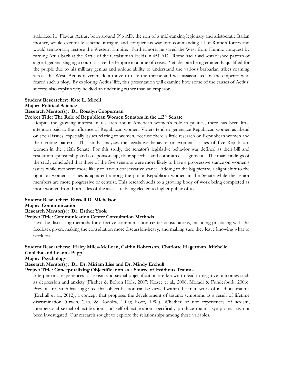stabilized it. Flavius Aetius, born around 396 AD, the son of a mid-ranking legionary and aristocratic Italian mother, would eventually scheme, intrigue, and conquer his way into commanding all of Rome's forces and would temporarily restore the Western Empire. Furthermore, he saved the West from Hunnic conquest by turning Attila back at the Battle of the Catalaunian Fields in 451 AD. Rome had a well-established pattern of a great general staging a coup to save the Empire in a time of crisis. Yet, despite being eminently qualified for the purple due to his military genius and unique ability to understand the various barbarian tribes roaming across the West, Aetius never made a move to take the throne and was assassinated by the emperor who feared such a ploy. By exploring Aetius' life, this presentation will examine how some of the causes of Aetius' success also explain why he died an underling rather than an emperor.

#### **Student Researcher: Kate L. Miceli**

**Major: Political Science**

## **Research Mentor(s): Dr. Rosalyn Cooperman**

## **Project Title: The Role of Republican Women Senators in the 112th Senate**

Despite the growing interest in research about American women's role in politics, there has been little attention paid to the influence of Republican women. Voters tend to generalize Republican women as liberal on social issues, especially issues relating to women, because there is little research on Republican women and their voting patterns. This study analyzes the legislative behavior on women's issues of five Republican women in the 112th Senate. For this study, the senator's legislative behavior was defined as their bill and resolution sponsorship and co-sponsorship, floor speeches and committee assignments. The main findings of the study concluded that three of the five senators were more likely to have a progressive stance on women's issues while two were more likely to have a conservative stance. Adding to the big picture, a slight shift to the right on women's issues is apparent among the junior Republican women in the Senate while the senior members are more progressive or centrist. This research adds to a growing body of work being completed as more women from both sides of the aisles are being elected to higher public office.

#### **Student Researcher: Russell D. Michelson**

## **Major: Communication**

## **Research Mentor(s): Dr. Esther Yook**

## **Project Title: Communication Center Consultation Methods**

I will be discussing methods for effective communication center consultations, including practicing with the feedback given, making the consultation more discussion-heavy, and making sure they leave knowing what to work on.

## **Student Researchers: Haley Miles-McLean, Caitlin Robertson, Charlotte Hagerman, Michelle Gnoleba and Leanna Papp**

## **Major: Psychology**

## **Research Mentor(s): Dr. Dr. Miriam Liss and Dr. Mindy Erchull**

## **Project Title: Conceptualizing Objectification as a Source of Insidious Trauma**

Interpersonal experiences of sexism and sexual objectification are known to lead to negative outcomes such as depression and anxiety (Fischer & Bolton Holz, 2007; Kozee et al., 2008; Moradi & Funderburk, 2006). Previous research has suggested that objectification can be viewed within the framework of insidious trauma (Erchull et al., 2012), a concept that proposes the development of trauma symptoms as a result of lifetime discrimination (Owen, Tao, & Rodolfa, 2010; Root, 1992). Whether or not experiences of sexism, interpersonal sexual objectification, and self-objectification specifically produce trauma symptoms has not been investigated. Our research sought to explore the relationships among these variables.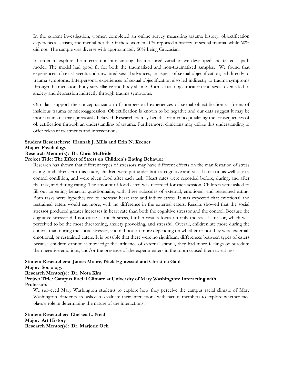In the current investigation, women completed an online survey measuring trauma history, objectification experiences, sexism, and mental health. Of these women 40% reported a history of sexual trauma, while 60% did not. The sample was diverse with approximately 50% being Caucasian.

In order to explore the interrelationships among the measured variables we developed and tested a path model. The model had good fit for both the traumatized and non-traumatized samples. We found that experiences of sexist events and unwanted sexual advances, an aspect of sexual objectification, led directly to trauma symptoms. Interpersonal experiences of sexual objectification also led indirectly to trauma symptoms through the mediators body surveillance and body shame. Both sexual objectification and sexist events led to anxiety and depression indirectly through trauma symptoms.

Our data support the conceptualization of interpersonal experiences of sexual objectification as forms of insidious trauma or microaggression. Objectification is known to be negative and our data suggest it may be more traumatic than previously believed. Researchers may benefit from conceptualizing the consequences of objectification through an understanding of trauma. Furthermore, clinicians may utilize this understanding to offer relevant treatments and interventions.

## **Student Researchers: Hannah J. Mills and Erin N. Keener**

#### **Major: Psychology**

#### **Research Mentor(s): Dr. Chris McBride**

## **Project Title: The Effect of Stress on Children's Eating Behavior**

Research has shown that different types of stressors may have different effects on the manifestation of stress eating in children. For this study, children were put under both a cognitive and social stressor, as well as in a control condition, and were given food after each task. Heart rates were recorded before, during, and after the task, and during eating. The amount of food eaten was recorded for each session. Children were asked to fill out an eating behavior questionnaire, with three subscales of external, emotional, and restrained eating. Both tasks were hypothesized to increase heart rate and induce stress. It was expected that emotional and restrained eaters would eat more, with no difference in the external eaters. Results showed that the social stressor produced greater increases in heart rate than both the cognitive stressor and the control. Because the cognitive stressor did not cause as much stress, further results focus on only the social stressor, which was perceived to be the most threatening, anxiety provoking, and stressful. Overall, children ate more during the control than during the social stressor, and did not eat more depending on whether or not they were external, emotional, or restrained eaters. It is possible that there were no significant differences between types of eaters because children cannot acknowledge the influence of external stimuli, they had more feelings of boredom than negative emotions, and/or the presence of the experimenters in the room caused them to eat less.

## **Student Researchers: James Moore, Nick Eghtessad and Christina Gaul**

## **Major: Sociology**

## **Research Mentor(s): Dr. Nora Kim**

## **Project Title: Campus Racial Climate at University of Mary Washington: Interacting with Professors**

We surveyed Mary Washington students to explore how they perceive the campus racial climate of Mary Washington. Students are asked to evaluate their interactions with faculty members to explore whether race plays a role in determining the nature of the interactions.

**Student Researcher: Chelsea L. Neal Major: Art History Research Mentor(s): Dr. Marjorie Och**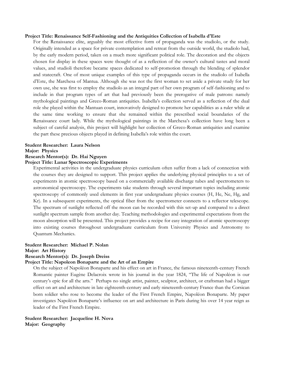#### **Project Title: Renaissance Self-Fashioning and the Antiquities Collection of Isabella d'Este**

For the Renaissance elite, arguably the most effective form of propaganda was the studiolo, or the study. Originally intended as a space for private contemplation and retreat from the outside world, the studiolo had, by the early modern period, taken on a much more significant political role. The decoration and the objects chosen for display in these spaces were thought of as a reflection of the owner's cultural tastes and moral values, and studioli therefore became spaces dedicated to self-promotion through the blending of splendor and statecraft. One of most unique examples of this type of propaganda occurs in the studiolo of Isabella d'Este, the Marchesa of Mantua. Although she was not the first woman to set aside a private study for her own use, she was first to employ the studiolo as an integral part of her own program of self-fashioning and to include in that program types of art that had previously been the prerogative of male patrons: namely mythological paintings and Greco-Roman antiquities. Isabella's collection served as a reflection of the dual role she played within the Mantuan court, innovatively designed to promote her capabilities as a ruler while at the same time working to ensure that she remained within the prescribed social boundaries of the Renaissance court lady. While the mythological paintings in the Marchesa's collection have long been a subject of careful analysis, this project will highlight her collection of Greco-Roman antiquities and examine the part these precious objects played in defining Isabella's role within the court.

#### **Student Researcher: Laura Nelson**

## **Major: Physics**

## **Research Mentor(s): Dr. Hai Nguyen**

## **Project Title: Lunar Spectroscopic Experiments**

Experimental activities in the undergraduate physics curriculum often suffer from a lack of connection with the courses they are designed to support. This project applies the underlying physical principles to a set of experiments in atomic spectroscopy based on a commercially available discharge tubes and spectrometers to astronomical spectroscopy. The experiments take students through several important topics including atomic spectroscopy of commonly used elements in first year undergraduate physics courses (H, He, Ne, Hg, and Kr). In a subsequent experiments, the optical fiber from the spectrometer connects to a reflector telescope. The spectrum of sunlight reflected off the moon can be recorded with this set-up and compared to a direct sunlight spectrum sample from another day. Teaching methodologies and experimental expectations from the moon absorption will be presented. This project provides a recipe for easy integration of atomic spectroscopy into existing courses throughout undergraduate curriculum from University Physics and Astronomy to Quantum Mechanics.

## **Student Researcher: Michael P. Nolan**

## **Major: Art History**

## **Research Mentor(s): Dr. Joseph Dreiss**

## **Project Title: Napoleon Bonaparte and the Art of an Empire**

On the subject of Napoléon Bonaparte and his effect on art in France, the famous nineteenth-century French Romantic painter Eugène Delacroix wrote in his journal in the year 1824, "The life of Napoléon is our century's epic for all the arts." Perhaps no single artist, painter, sculptor, architect, or craftsman had a bigger effect on art and architecture in late eighteenth-century and early nineteenth-century France than the Corsican born soldier who rose to become the leader of the First French Empire, Napoléon Bonaparte. My paper investigates Napoléon Bonaparte's influence on art and architecture in Paris during his over 14 year reign as leader of the First French Empire.

**Student Researcher: Jacqueline H. Nova Major: Geography**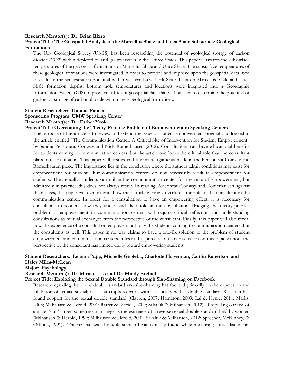#### **Research Mentor(s): Dr. Brian Rizzo**

## **Project Title: The Geospatial Analysis of the Marcellus Shale and Utica Shale Subsurface Geological Formations**

The U.S. Geological Survey (USGS) has been researching the potential of geological storage of carbon dioxide (CO2) within depleted oil and gas reservoirs in the United States. This paper illustrates the subsurface temperatures of the geological formations of Marcellus Shale and Utica Shale. The subsurface temperatures of these geological formations were investigated in order to provide and improve upon the geospatial data used to evaluate the sequestration potential within western New York State. Data on Marcellus Shale and Utica Shale formation depths, bottom hole temperatures and locations were integrated into a Geographic Information System (GIS) to produce sufficient geospatial data that will be used to determine the potential of geological storage of carbon dioxide within these geological formations.

## **Student Researcher: Thomas Papeco Sponsoring Program: UMW Speaking Center Research Mentor(s): Dr. Esther Yook**

## **Project Title: Overcoming the Theory-Practice Problem of Empowerment in Speaking Centers**

The purpose of this article is to review and extend the issue of student empowerment originally addressed in the article entitled "The Communication Center: A Critical Site of Intervention for Student Empowerment" by Sandra Pensoneau-Conway and Nick Romerhausen (2012). Consultations can have educational benefits for students coming to communication centers, but the article overlooks the critical role that the consultant plays in a consultation. This paper will first extend the main arguments made in the Pensoneau-Conway and Romerhausen piece. The importance lies in the conclusion where the authors admit conditions may exist for empowerment for students, but communication centers do not necessarily result in empowerment for students. Theoretically, students can utilize the communication center for the sake of empowerment, but admittedly in practice this does not always result. In reading Pensoneau-Conway and Romerhausen against themselves, this paper will demonstrate how their article glaringly overlooks the role of the consultant in the communication center. In order for a consultation to have an empowering effect, it is necessary for consultants to reorient how they understand their role in the consultation. Bridging the theory-practice problem of empowerment in communication centers will require critical reflection and understanding consultations as mutual exchanges from the perspective of the consultant. Finally, this paper will also reveal how the experience of a consultation empowers not only the students coming to communication centers, but the consultants as well. This paper in no way claims to have a one-fix solution to the problem of student empowerment and communication centers' roles in that process, but any discussion on this topic without the perspective of the consultant has limited utility toward empowering students.

## **Student Researchers: Leanna Papp, Michelle Gnoleba, Charlotte Hagerman, Caitlin Robertson and Haley Miles-McLean**

## **Major: Psychology**

## **Research Mentor(s): Dr. Miriam Liss and Dr. Mindy Erchull**

## **Project Title: Exploring the Sexual Double Standard through Slut-Shaming on Facebook**

Research regarding the sexual double standard and slut-shaming has focused primarily on the expression and inhibition of female sexuality as it attempts to work within a society with a double standard. Research has found support for the sexual double standard (Clayton, 2007; Hamilton, 2009; Lai & Hynie, 2011; Marks, 2008; Milhausen & Herold, 2001; Ratter & Riccioli, 2009; Sakaluk & Milhausen, 2012). Propelling our use of a male "slut" target, some research suggests the existence of a reverse sexual double standard held by women (Milhausen & Herold, 1999; Milhausen & Herold, 2001; Sakaluk & Milhausen, 2012; Sprecher, McKinney, & Orbuch, 1991). The reverse sexual double standard was typically found while measuring social distancing,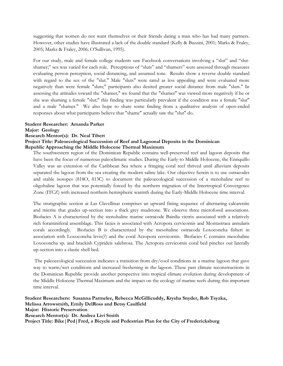suggesting that women do not want themselves or their friends dating a man who has had many partners. However, other studies have illustrated a lack of the double standard (Kelly & Bazzini, 2001; Marks & Fraley, 2005; Marks & Fraley, 2006; O'Sullivan, 1995).

For our study, male and female college students saw Facebook conversations involving a "slut" and "slutshamer;" sex was varied for each role. Perceptions of "sluts" and "shamers" were assessed through measures evaluating person perception, social distancing, and assumed tone. Results show a reverse double standard with regard to the sex of the "slut." Male "sluts" were rated as less appealing and were evaluated more negatively than were female "sluts;" participants also desired greater social distance from male "sluts." In assessing the attitudes toward the "shamer," we found that the "shamer" was viewed more negatively if he or she was shaming a female "slut;" this finding was particularly prevalent if the condition was a female "slut" and a male "shamer." We also hope to share some finding from a qualitative analysis of open-ended responses about what participants believe that "shame" actually saw the "slut" do.

## **Student Researcher: Amanda Parker**

**Major: Geology**

## **Research Mentor(s): Dr. Neal Tibert**

## **Project Title: Paleoecological Succession of Reef and Lagoonal Deposits in the Dominican Republic Approaching the Middle Holocene Thermal Maximum**

The southwestern region of the Dominican Republic contains well-preserved reef and lagoon deposits that have been the focus of numerous paleoclimatic studies. During the Early-to Middle Holocene, the Enriquillo Valley was an extension of the Caribbean Sea where a fringing coral reef thrived until alluvium deposits separated the lagoon from the sea creating the modern saline lake. Our objective herein is to use ostracodes and stable isotopes (δ18O, δ13C) to document the paleoecological succession of a stenohaline reef to oligohaline lagoon that was potentially forced by the northern migration of the Intertropical Convergence Zone (ITCZ) with increased northern hemispheric warmth during the Early-Middle Holocene time interval.

The stratigraphic section at Las Clavellinas comprises an upward fining sequence of alternating calcarenite and micrite that grades up-section into a thick grey mudstone. We observe three microfossil associations. Biofacies A is characterized by the stenohaline marine ostracode Bairdia victrix associated with a relatively rich foraminiferal assemblage. This facies is associated with Acropora cervicornis and Montastraea annularis corals accordingly. Biofacies B is characterized by the mesohaline ostracoda Loxoconcha fisheri in association with Loxoconcha levis(?) and the coral Acropora cervicornis. Biofacies C contains mesohaline Loxoconcha sp. and brackish Cyprideis salebrosa. The Acropora cervicornis coral bed pinches out laterally up-section into a clastic shell bed.

The paleoecological succession indicates a transition from dry/cool conditions in a marine lagoon that gave way to warm/wet conditions and increased freshening in the lagoon. These past climate reconstructions in the Dominican Republic provide another perspective into tropical climate evolution during development of the Middle Holocene Thermal Maximum and the impact on the ecology of marine reefs during this important time interval.

**Student Researchers: Susanna Parmelee, Rebecca McGillicuddy, Krysha Snyder, Rob Tsyzka, Melissa Arrowsmith, Emily DelRoss and Betsy Caulfield Major: Historic Preservation Research Mentor(s): Dr. Andrea Livi Smith Project Title: Bike|Ped|Fred, a Bicycle and Pedestrian Plan for the City of Fredericksburg**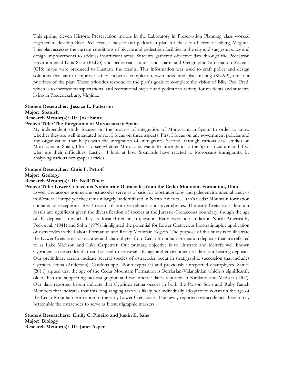This spring, eleven Historic Preservation majors in the Laboratory in Preservation Planning class worked together to develop Bike|Ped|Fred, a bicycle and pedestrian plan for the city of Fredericksburg, Virginia. This plan assesses the current conditions of bicycle and pedestrian facilities in the city and suggests policy and design improvements to address insufficient areas. Students gathered objective data through the Pedestrian Environmental Data Scan (PEDS) and pedestrian counts, and charts and Geographic Information Systems (GIS) maps were produced to illustrate the results. This information was used to craft policy and design solutions that aim to improve safety, network completion, awareness, and placemaking (SNAP), the four priorities of the plan. These priorities respond to the plan's goals to complete the vision of Bike|Ped|Fred, which is to increase transportational and recreational bicycle and pedestrian activity for residents and students living in Fredericksburg, Virginia.

## **Student Researcher: Jessica L. Patterson Major: Spanish**

## **Research Mentor(s): Dr. Jose Sainz**

## **Project Title: The Integration of Moroccans in Spain**

My independent study focuses on the process of integration of Moroccans in Spain. In order to know whether they are well integrated or not I focus on three aspects. First I focus on any government policies and any organization that helps with the integration of immigrants. Second, through various case studies on Moroccans in Spain, I look to see whether Moroccans wants to integrate in to the Spanish culture and if so what are their difficulties. Lastly, I look at how Spaniards have reacted to Moroccans immigrants, by analyzing various newspaper articles.

## **Student Researcher: Chris F. Petroff**

## **Major: Geology**

## **Research Mentor(s): Dr. Neil Tibert**

**Project Title: Lower Cretaceous Nonmarine Ostracodes from the Cedar Mountain Formation, Utah**

Lower Cretaceous nonmarine ostracodes serve as a basis for biostratigraphy and paleoenvironmental analysis in Western Europe yet they remain largely underutilized in North America. Utah's Cedar Mountain formation contains an exceptional fossil record of both vertebrates and invertebrates. The early Cretaceous dinosaur fossils are significant given the diversification of species at the Jurassic-Cretaceous boundary, though the age of the deposits in which they are located remain in question. Early ostracode studies in North America by Peck et al. (1941) and Sohn (1979) highlighted the potential for Lower Cretaceous biostratigraphic application of ostracodes in the Lakota Formation and Rocky Mountain Region. The purpose of this study is to illustrate the Lower Cretaceous ostracodes and charophytes from Cedar Mountain Formation deposits that are referred to as Lake Madison and Lake Carpenter. Our primary objective is to illustrate and identify well known Cyprideidae ostracodes that can be used to constrain the age and environment of dinosaur-bearing deposits. Our preliminary results indicate several species of ostracodes occur in stratigraphic succession that includes Cypridea setina (Anderson), Candona spp., Pontocypris (?) and previously unreported charophytes. Sames (2011) argued that the age of the Cedar Mountain Formation is Berriasian-Valanginian which is significantly older than the supporting biostratigraphic and radiometric dates reported in Kirkland and Madsen (2007). Our data reported herein indicate that Cypridea setina occurs in both the Poison Strip and Ruby Ranch Members that indicates that this long ranging taxon is likely not individually adequate to constrain the age of the Cedar Mountain Formation to the early Lower Cretaceous. The newly reported ostracode taxa herein may better able the ostracodes to serve as biostratigraphic markers.

**Student Researchers: Emily C. Pineiro and Justin E. Sahs Major: Biology Research Mentor(s): Dr. Janet Asper**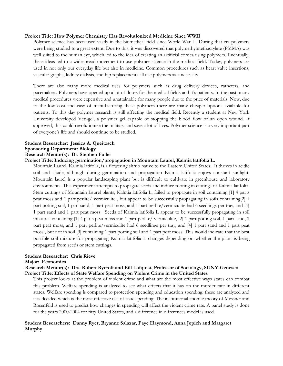## **Project Title: How Polymer Chemistry Has Revolutionized Medicine Since WWII**

Polymer science has been used vastly in the biomedical field since World War II. During that era polymers were being studied to a great extent. Due to this, it was discovered that polymethylmethacrylate (PMMA) was well suited to the human eye, which led to the idea of creating an artificial cornea using polymers. Eventually, these ideas led to a widespread movement to use polymer science in the medical field. Today, polymers are used in not only our everyday life but also in medicine. Common procedures such as heart valve insertions, vascular graphs, kidney dialysis, and hip replacements all use polymers as a necessity.

There are also many more medical uses for polymers such as drug delivery devices, catheters, and pacemakers. Polymers have opened up a lot of doors for the medical fields and it's patients. In the past, many medical procedures were expensive and unattainable for many people due to the price of materials. Now, due to the low cost and easy of manufacturing these polymers there are many cheaper options available for patients. To this day polymer research is still affecting the medical field. Recently a student at New York University developed Veti-gel, a polymer gel capable of stopping the blood flow of an open wound. If approved, this could revolutionize the military and save a lot of lives. Polymer science is a very important part of everyone's life and should continue to be studied.

#### **Student Researcher: Jessica A. Queitzsch Sponsoring Department: Biology**

## **Research Mentor(s): Dr. Stephen Fuller**

## **Project Title: Inducing germination/propagation in Mountain Laurel, Kalmia latifolia L.**

Mountain Laurel, Kalmia latifolia, is a flowering shrub native to the Eastern United States. It thrives in acidic soil and shade, although during germination and propagation Kalmia latifolia enjoys constant sunlight. Mountain laurel is a popular landscaping plant but is difficult to cultivate in greenhouse and laboratory environments. This experiment attempts to propagate seeds and induce rooting in cuttings of Kalmia latifolia. Stem cuttings of Mountain Laurel plants, Kalmia latifolia L, failed to propagate in soil containing [1] 4 parts peat moss and 1 part perlite/ vermiculite , but appear to be successfully propagating in soils containing[2] 1 part potting soil, 1 part sand, 1 part peat moss, and 1 part perlite/vermiculite had 6 seedlings per tray, and [4] 1 part sand and 1 part peat moss. Seeds of Kalmia latifolia L appear to be successfully propagating in soil mixtures containing [1] 4 parts peat moss and 1 part perlite/ vermiculite, [2] 1 part potting soil, 1 part sand, 1 part peat moss, and 1 part perlite/vermiculite had 6 seedlings per tray, and [4] 1 part sand and 1 part peat moss , but not in soil [3] containing 1 part potting soil and 1 part peat moss. This would indicate that the best possible soil mixture for propagating Kalmia latifolia L changes depending on whether the plant is being propagated from seeds or stem cuttings.

## **Student Researcher: Chris Rieve**

#### **Major: Economics**

## **Research Mentor(s): Drs. Robert Rycroft and Bill Lofquist, Professor of Sociology, SUNY-Geneseo Project Title: Effects of State Welfare Spending on Violent Crime in the United States**

This project looks at the problem of violent crime and what are the most effective ways states can combat this problem. Welfare spending is analyzed to see what effects that it has on the murder rate in different states. Welfare spending is compared to protection spending and education spending; these are analyzed and it is decided which is the most effective use of state spending. The institutional anomie theory of Messner and Rosenfeld is used to predict how changes in spending will affect the violent crime rate. A panel study is done for the years 2000-2004 for fifty United States, and a difference in differences model is used.

## **Student Researchers: Danny Ryer, Bryanne Salazar, Faye Haymond, Anna Jopich and Margaret Murphy**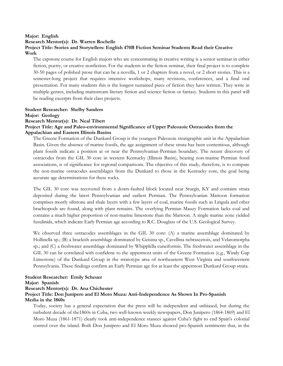## **Major: English**

**Research Mentor(s): Dr. Warren Rochelle**

## **Project Title: Stories and Storytellers: English 470B Fiction Seminar Students Read their Creative Work**

The capstone course for English majors who are concentrating in creative writing is a senior seminar in either fiction, poetry, or creative nonfiction. For the students in the fiction seminar, their final project is to complete 30-50 pages of polished prose that can be a novella, 1 or 2 chapters from a novel, or 2 short stories. This is a semester-long project that requires intensive workshops, many revisions, conferences, and a final oral presentation. For many students this is the longest sustained piece of fiction they have written. They write in multiple genres, including mainstream literary fiction and science fiction or fantasy. Students in this panel will be reading excerpts from their class projects.

## **Student Researcher: Shelby Sanders**

**Major: Geology**

**Research Mentor(s): Dr. Neal Tibert**

## **Project Title: Age and Paleo-environmental Significance of Upper Paleozoic Ostracodes from the Appalachian and Eastern Illinois Basins**

The Greene Formation of the Dunkard Group is the youngest Paleozoic stratigraphic unit in the Appalachian Basin. Given the absence of marine fossils, the age assignment of these strata has been contentious, although plant fossils indicate a position at or near the Pennsylvanian-Permian boundary. The recent discovery of ostracodes from the GIL 30 core in western Kentucky (Illinois Basin), bearing non-marine Permian fossil associations, is of significance for regional comparisons. The objective of this study, therefore, is to compare the non-marine ostracodes assemblages from the Dunkard to those in the Kentucky core, the goal being accurate age determinations for these rocks.

The GIL 30 core was recovered from a down-faulted block located near Sturgis, KY and contains strata deposited during the latest Pennsylvanian and earliest Permian. The Pennsylvanian Mattoon formation comprises mostly siltstone and shale layers with a few layers of coal, marine fossils such as Lingula and other brachiopods are found, along with plant remains. The overlying Permian Mauzy Formation lacks coal and contains a much higher proportion of non-marine limestone than the Mattoon. A single marine zone yielded fusulinids, which indicate Early Permian age according to R.C. Douglass of the U.S. Geological Survey.

We observed three ostracodes assemblages in the GIL 30 core: (A) a marine assemblage dominated by Hollinella sp.; (B) a brackish assemblage dominated by Geisina sp., Cavellina nebrascensis, and Velatomorpha sp.; and (C) a freshwater assemblage dominated by Whipplella cuneiformis. The freshwater assemblage in the GIL 30 can be correlated with confidene to the uppermost units of the Greene Formation (e.g., Windy Gap Limestone) of the Dunkard Group in the stratotype area of northeastern West Virginia and southwestern Pennsylvania. These findings confirm an Early Permian age for at least the uppermost Dunkard Group strata.

## **Student Researcher: Emily Scheuer**

## **Major: Spanish**

**Research Mentor(s): Dr. Ana Chichester Project Title: Don Junípero and El Moro Muza: Anti-Independence As Shown In Pro-Spanish Media in the 1860s**

Today, society has a general expectation that the press will be independent and unbiased, but during the turbulent decade of the1860s in Cuba, two well-known weekly newspapers, Don Junipero (1864-1869) and El Moro Muza (1861-1871) clearly took anti-independence stances against Cuba's fight to end Spain's colonial control over the island. Both Don Junipero and El Moro Muza showed pro-Spanish sentiments that, in the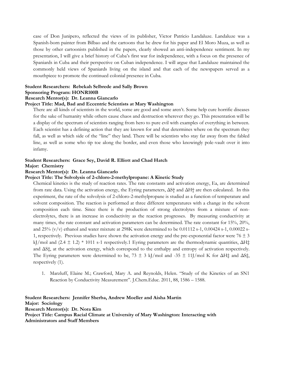case of Don Junipero, reflected the views of its publisher, Victor Patricio Landaluze. Landaluze was a Spanish-born painter from Bilbao and the cartoons that he drew for his paper and El Moro Muza, as well as those by other cartoonists published in the papers, clearly showed an anti-independence sentiment. In my presentation, I will give a brief history of Cuba's first war for independence, with a focus on the presence of Spaniards in Cuba and their perspective on Cuban independence. I will argue that Landaluze maintained the commonly held views of Spaniards living on the island and that each of the newspapers served as a mouthpiece to promote the continued colonial presence in Cuba.

## **Student Researchers: Rebekah Selbrede and Sally Brown Sponsoring Program: HONR100B**

## **Research Mentor(s): Dr. Leanna Giancarlo**

### **Project Title: Mad, Bad and Eccentric Scientists at Mary Washington**

There are all kinds of scientists in the world, some are good and some aren't. Some help cure horrific diseases for the sake of humanity while others cause chaos and destruction wherever they go. This presentation will be a display of the spectrum of scientists ranging from hero to pure evil with examples of everything in between. Each scientist has a defining action that they are known for and that determines where on the spectrum they fall, as well as which side of the "line" they land. There will be scientists who stay far away from the fabled line, as well as some who tip toe along the border, and even those who knowingly pole-vault over it into infamy.

## **Student Researchers: Grace Sey, David R. Elliott and Chad Hatch**

## **Major: Chemistry**

## **Research Mentor(s): Dr. Leanna Giancarlo**

## **Project Title: The Solvolysis of 2-chloro-2-methylpropane: A Kinetic Study**

Chemical kinetics is the study of reaction rates. The rate constants and activation energy, Ea, are determined from rate data. Using the activation energy, the Eyring parameters, ΔS† and ΔH† are then calculated. In this experiment, the rate of the solvolysis of 2-chloro-2-methylpropane is studied as a function of temperature and solvent composition. The reaction is performed at three different temperatures with a change in the solvent composition each time. Since there is the production of strong electrolytes from a mixture of nonelectrolytes, there is an increase in conductivity as the reaction progresses. By measuring conductivity at many times, the rate constant and activation parameters can be determined. The rate constant for 15%, 20%, and 25% (v/v) ethanol and water mixture at 298K were determined to be 0.01112 s-1, 0.00424 s-1, 0.00022 s-1, respectively. Previous studies have shown the activation energy and the pre-exponential factor were  $76 \pm 3$ kJ/mol and  $(2.4 \pm 1.2)$  \* 1011 s-1 respectively.1 Eyring parameters are the thermodynamic quantities,  $\Delta H\ddagger$ and ΔS‡, at the activation energy, which correspond to the enthalpy and entropy of activation respectively. The Eyring parameters were determined to be,  $73 \pm 3$  kJ/mol and -35  $\pm$  11J/mol K for  $\Delta H\ddagger$  and  $\Delta S\ddagger$ , respectively (1).

1. Marzluff, Elaine M.; Crawford, Mary A. and Reynolds, Helen. "Study of the Kinetics of an SN1 Reaction by Conductivity Measurement". J.Chem.Educ. 2011, 88, 1586 – 1588.

**Student Researchers: Jennifer Sherba, Andrew Moeller and Aisha Martin Major: Sociology Research Mentor(s): Dr. Nora Kim Project Title: Campus Racial Climate at University of Mary Washington: Interacting with Administrators and Staff Members**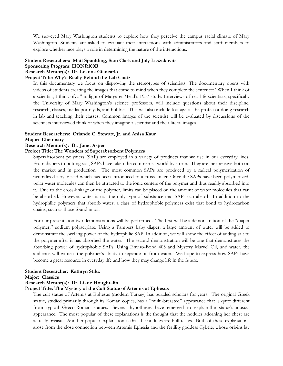We surveyed Mary Washington students to explore how they perceive the campus racial climate of Mary Washington. Students are asked to evaluate their interactions with administrators and staff members to explore whether race plays a role in determining the nature of the interactions.

## **Student Researchers: Matt Spaulding, Sam Clark and July Laszakovits**

## **Sponsoring Program: HONR100B**

## **Research Mentor(s): Dr. Leanna Giancarlo**

## **Project Title: Why's Really Behind the Lab Coat?**

In this documentary we focus on disproving the stereotypes of scientists. The documentary opens with videos of students creating the images that come to mind when they complete the sentence: "When I think of a scientist, I think of…" in light of Margaret Mead's 1957 study. Interviews of real life scientists, specifically the University of Mary Washington's science professors, will include questions about their discipline, research, classes, media portrayals, and hobbies. This will also include footage of the professor doing research in lab and teaching their classes. Common images of the scientist will be evaluated by discussions of the scientists interviewed think of when they imagine a scientist and their literal images.

#### **Student Researchers: Orlando C. Stewart, Jr. and Anisa Kaur**

#### **Major: Chemistry**

## **Research Mentor(s): Dr. Janet Asper**

## **Project Title: The Wonders of Superabsorbent Polymers**

Superabsorbent polymers (SAP) are employed in a variety of products that we use in our everyday lives. From diapers to potting soil, SAPs have taken the commercial world by storm. They are inexpensive both on the market and in production. The most common SAPs are produced by a radical polymerization of neutralized acrylic acid which has been introduced to a cross-linker. Once the SAPs have been polymerized, polar water molecules can then be attracted to the ionic centers of the polymer and thus readily absorbed into it. Due to the cross-linkage of the polymer, limits can be placed on the amount of water molecules that can be absorbed. However, water is not the only type of substance that SAPs can absorb. In addition to the hydrophilic polymers that absorb water, a class of hydrophobic polymers exist that bond to hydrocarbon chains, such as those found in oil.

For our presentation two demonstrations will be performed. The first will be a demonstration of the "diaper polymer," sodium polyacrylate. Using a Pampers baby diaper, a large amount of water will be added to demonstrate the swelling power of the hydrophilic SAP. In addition, we will show the effect of adding salt to the polymer after it has absorbed the water. The second demonstration will be one that demonstrates the absorbing power of hydrophobic SAPs. Using Enviro-Bond 403 and Mystery Marvel Oil, and water, the audience will witness the polymer's ability to separate oil from water. We hope to express how SAPs have become a great resource in everyday life and how they may change life in the future.

#### **Student Researcher: Kathryn Stiltz**

#### **Major: Classics**

#### **Research Mentor(s): Dr. Liane Houghtalin**

#### **Project Title: The Mystery of the Cult Statue of Artemis at Ephesus**

The cult statue of Artemis at Ephesus (modern Turkey) has puzzled scholars for years. The original Greek statue, studied primarily through its Roman copies, has a "multi-breasted" appearance that is quite different from typical Greco-Roman statues. Several hypotheses have emerged to explain the statue's unusual appearance. The most popular of these explanations is the thought that the nodules adorning her chest are actually breasts. Another popular explanation is that the nodules are bull testes. Both of these explanations arose from the close connection between Artemis Ephesia and the fertility goddess Cybele, whose origins lay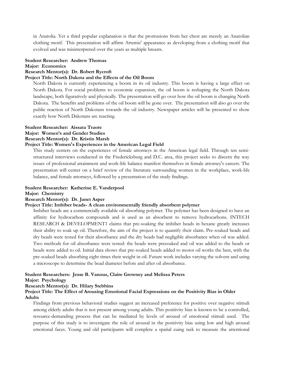in Anatolia. Yet a third popular explanation is that the protrusions from her chest are merely an Anatolian clothing motif. This presentation will affirm Artemis' appearance as developing from a clothing motif that evolved and was misinterpreted over the years as multiple breasts.

## **Student Researcher: Andrew Thomas**

#### **Major: Economics**

#### **Research Mentor(s): Dr. Robert Rycroft**

## **Project Title: North Dakota and the Effects of the Oil Boom**

North Dakota is currently experiencing a boom in its oil industry. This boom is having a large effect on North Dakota. For social problems to economic expansion, the oil boom is reshaping the North Dakota landscape, both figuratively and physically. The presentation will go over how the oil boom is changing North Dakota. The benefits and problems of the oil boom will be gone over. The presentation will also go over the public reaction of North Dakotans towards the oil industry. Newspaper articles will be presented to show exactly how North Dakotans are reacting.

## **Student Researcher: Aissata Traore**

## **Major: Women's and Gender Studies**

## **Research Mentor(s): Dr. Kristin Marsh**

## **Project Title: Women's Experiences in the American Legal Field**

This study centers on the experiences of female attorneys in the American legal field. Through ten semistructured interviews conducted in the Fredericksburg and D.C. area, this project seeks to discern the way issues of professional attainment and work-life balance manifest themselves in female attorney's careers. The presentation will center on a brief review of the literature surrounding women in the workplace, work-life balance, and female attorneys, followed by a presentation of the study findings.

#### **Student Researcher: Katherine E. Vanderpool**

## **Major: Chemistry**

## **Research Mentor(s): Dr. Janet Asper**

## **Project Title: Imbiber beads- A clean environmentally friendly absorbent polymer**

Imbiber beads are a commercially available oil absorbing polymer. The polymer has been designed to have an affinity for hydrocarbon compounds and is used as an absorbent to remove hydrocarbons. INTECH RESEARCH & DEVELOPMENT1 claims that pre-soaking the imbiber beads in hexane greatly increases their ability to soak up oil. Therefore, the aim of the project is to quantify their claim. Pre-soaked beads and dry beads were tested for their absorbance and the dry beads had negligible absorbance when oil was added. Two methods for oil absorbance were tested: the beads were presoaked and oil was added to the beads or beads were added to oil. Initial data shows that pre-soaked beads added to motor oil works the best, with the pre-soaked beads absorbing eight times their weight in oil. Future work includes varying the solvent and using a microscope to determine the bead diameter before and after oil absorbance.

## **Student Researchers: Jesse B. Vanous, Claire Growney and Melissa Peters**

#### **Major: Psychology**

#### **Research Mentor(s): Dr. Hilary Stebbins**

## **Project Title: The Effect of Arousing Emotional Facial Expressions on the Positivity Bias in Older Adults**

Findings from previous behavioral studies suggest an increased preference for positive over negative stimuli among elderly adults that is not present among young adults. This positivity bias is known to be a controlled, resource-demanding process that can be mediated by levels of arousal of emotional stimuli used. The purpose of this study is to investigate the role of arousal in the positivity bias using low and high arousal emotional faces. Young and old participants will complete a spatial cuing task to measure the attentional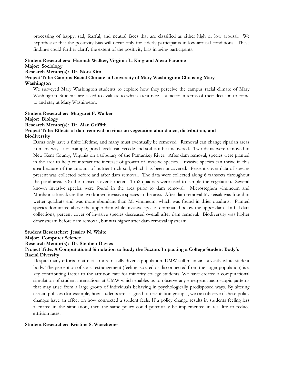processing of happy, sad, fearful, and neutral faces that are classified as either high or low arousal. We hypothesize that the positivity bias will occur only for elderly participants in low-arousal conditions. These findings could further clarify the extent of the positivity bias in aging participants.

## **Student Researchers: Hannah Walker, Virginia L. King and Alexa Faraone**

## **Major: Sociology**

## **Research Mentor(s): Dr. Nora Kim**

**Project Title: Campus Racial Climate at University of Mary Washington: Choosing Mary Washington**

We surveyed Mary Washington students to explore how they perceive the campus racial climate of Mary Washington. Students are asked to evaluate to what extent race is a factor in terms of their decision to come to and stay at Mary Washington.

## **Student Researcher: Margaret F. Walker Major: Biology Research Mentor(s): Dr. Alan Griffith Project Title: Effects of dam removal on riparian vegetation abundance, distribution, and**

## **biodiversity**

Dams only have a finite lifetime, and many must eventually be removed. Removal can change riparian areas in many ways, for example, pond levels can recede and soil can be uncovered. Two dams were removed in New Kent County, Virginia on a tributary of the Pamunkey River. After dam removal, species were planted in the area to help counteract the increase of growth of invasive species. Invasive species can thrive in this area because of the amount of nutrient rich soil, which has been uncovered. Percent cover data of species present was collected before and after dam removal. The data were collected along 6 transects throughout the pond area. On the transects ever 5 meters, 1 m2 quadrats were used to sample the vegetation. Several known invasive species were found in the area prior to dam removal. Microstegium vimineum and Murdannia keisak are the two known invasive species in the area. After dam removal M. keisak was found in wetter quadrats and was more abundant than M. vimineum, which was found in drier quadrats. Planted species dominated above the upper dam while invasive species dominated below the upper dam. In fall data collections, percent cover of invasive species decreased overall after dam removal. Biodiversity was higher downstream before dam removal, but was higher after dam removal upstream.

## **Student Researcher: Jessica N. White**

**Major: Computer Science**

#### **Research Mentor(s): Dr. Stephen Davies**

## **Project Title: A Computational Simulation to Study the Factors Impacting a College Student Body's Racial Diversity**

Despite many efforts to attract a more racially diverse population, UMW still maintains a vastly white student body. The perception of social estrangement (feeling isolated or disconnected from the larger population) is a key contributing factor to the attrition rate for minority college students. We have created a computational simulation of student interactions at UMW which enables us to observe any emergent macroscopic patterns that may arise from a large group of individuals behaving in psychologically predisposed ways. By altering certain policies (for example, how students are assigned to orientation groups), we can observe if these policy changes have an effect on how connected a student feels. If a policy change results in students feeling less alienated in the simulation, then the same policy could potentially be implemented in real life to reduce attrition rates.

#### **Student Researcher: Kristine S. Woeckener**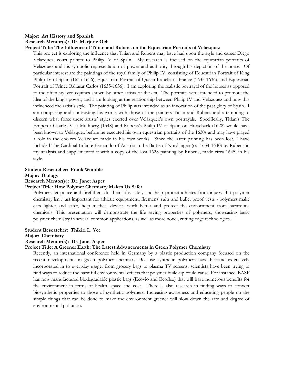## **Major: Art History and Spanish Research Mentor(s): Dr. Marjorie Och**

## **Project Title: The Influence of Titian and Rubens on the Equestrian Portraits of Velázquez**

This project is exploring the influence that Titian and Rubens may have had upon the style and career Diego Velazquez, court painter to Philip IV of Spain. My research is focused on the equestrian portraits of Velázquez and his symbolic representation of power and authority through his depiction of the horse. Of particular interest are the paintings of the royal family of Philip IV, consisting of Equestrian Portrait of King Philip IV of Spain (1635-1636), Equestrian Portrait of Queen Isabella of France (1635-1636), and Equestrian Portrait of Prince Baltasar Carlos (1635-1636). I am exploring the realistic portrayal of the horses as opposed to the often stylized equines shown by other artists of the era. The portraits were intended to promote the idea of the king's power, and I am looking at the relationship between Philip IV and Velázquez and how this influenced the artist's style. The painting of Philip was intended as an invocation of the past glory of Spain. I am comparing and contrasting his works with those of the painters Titian and Rubens and attempting to discern what force these artists' styles exerted over Velázquez's own portrayals. Specifically, Titian's The Emperor Charles V at Mulhberg (1548) and Rubens's Philip IV of Spain on Horseback (1628) would have been known to Velázquez before he executed his own equestrian portraits of the 1630s and may have played a role in the choices Velázquez made in his own works. Since the latter painting has been lost, I have included The Cardinal-Infante Fernando of Austria in the Battle of Nordlingen (ca. 1634-1640) by Rubens in my analysis and supplemented it with a copy of the lost 1628 painting by Rubens, made circa 1645, in his style.

## **Student Researcher: Frank Womble**

**Major: Biology**

**Research Mentor(s): Dr. Janet Asper**

## **Project Title: How Polymer Chemistry Makes Us Safer**

Polymers let police and firefithers do their jobs safely and help protect athletes from injury. But polymer chemistry isn't just important for athletic equiptment, firemens' suits and bullet proof vests - polymers make cars lighter and safer, help medical devices work better and protect the enviornment from hazardous chemicals. This presentation will demonstrate the life saving properties of polymers, showcasing basic polymer chemistry in several common applications, as well as more novel, cutting edge technologies.

## **Student Researcher: Thikiri L. Yee**

**Major: Chemistry**

## **Research Mentor(s): Dr. Janet Asper**

## **Project Title: A Greener Earth: The Latest Advancements in Green Polymer Chemistry**

Recently, an international conference held in Germany by a plastic production company focused on the recent developments in green polymer chemistry. Because synthetic polymers have become extensively incorporated in to everyday usage, from grocery bags to plasma TV screens, scientists have been trying to find ways to reduce the harmful environmental effects that polymer build-up could cause. For instance, BASF has now manufactured biodegradable plastic bags (Ecovio and Ecoflex) that will have numerous benefits for the environment in terms of health, space and cost. There is also research in finding ways to convert biosynthetic properties to those of synthetic polymers. Increasing awareness and educating people on the simple things that can be done to make the environment greener will slow down the rate and degree of environmental pollution.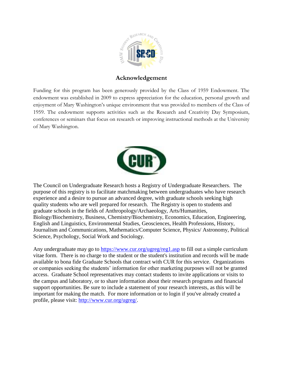

## **Acknowledgement**

Funding for this program has been generously provided by the Class of 1959 Endowment. The endowment was established in 2009 to express appreciation for the education, personal growth and enjoyment of Mary Washington's unique environment that was provided to members of the Class of 1959. The endowment supports activities such as the Research and Creativity Day Symposium, conferences or seminars that focus on research or improving instructional methods at the University of Mary Washington.



The Council on Undergraduate Research hosts a Registry of Undergraduate Researchers. The purpose of this registry is to facilitate matchmaking between undergraduates who have research experience and a desire to pursue an advanced degree, with graduate schools seeking high quality students who are well prepared for research. The Registry is open to students and graduate schools in the fields of Anthropology/Archaeology, Arts/Humanities, Biology/Biochemistry, Business, Chemistry/Biochemistry, Economics, Education, Engineering, English and Linguistics, Environmental Studies, Geosciences, Health Professions, History, Journalism and Communications, Mathematics/Computer Science, Physics/ Astronomy, Political Science, Psychology, Social Work and Sociology.

Any undergraduate may go to [https://www.cur.org/ugreg/reg1.asp](http://guest.cvent.com/events/mproc.aspx?m=3f340d41-bbbd-4ff6-a9a9-e0c6811bf720&t=https%3a%2f%2fwww.cur.org%2fugreg%2freg1.asp&s=https%3a%2f%2fwww.cur.org%2fugreg%2freg1.asp) to fill out a simple curriculum vitae form. There is no charge to the student or the student's institution and records will be made available to bona fide Graduate Schools that contract with CUR for this service. Organizations or companies seeking the students' information for other marketing purposes will not be granted access. Graduate School representatives may contact students to invite applications or visits to the campus and laboratory, or to share information about their research programs and financial support opportunities. Be sure to include a statement of your research interests, as this will be important for making the match. For more information or to login if you've already created a profile, please visit: [http://www.cur.org/ugreg/.](http://guest.cvent.com/events/mproc.aspx?m=3f340d41-bbbd-4ff6-a9a9-e0c6811bf720&t=http%3a%2f%2fwww.cur.org%2fugreg%2f&s=http%3a%2f%2fwww.cur.org%2fugreg%2f)